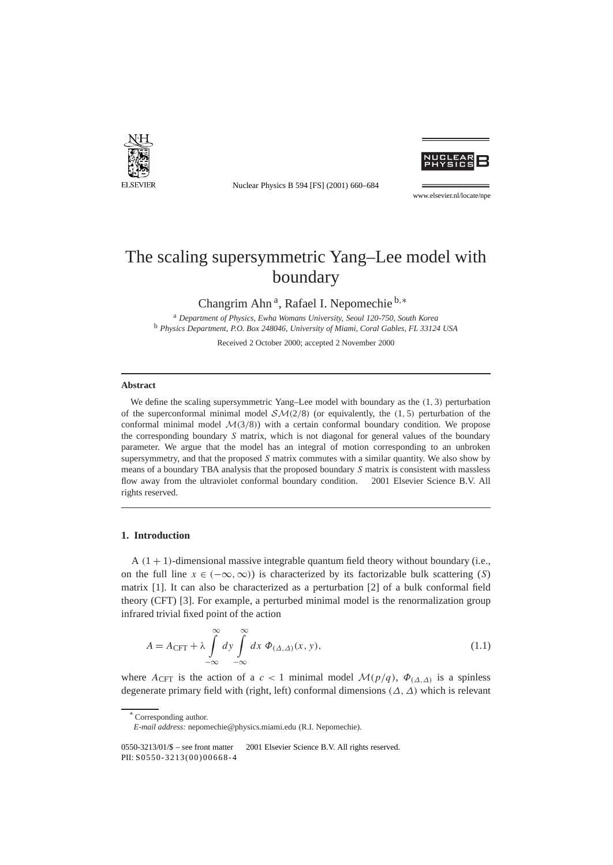

Nuclear Physics B 594 [FS] (2001) 660–684



www.elsevier.nl/locate/npe

# The scaling supersymmetric Yang–Lee model with boundary

Changrim Ahn a, Rafael I. Nepomechie <sup>b</sup>*,*<sup>∗</sup>

<sup>a</sup> *Department of Physics, Ewha Womans University, Seoul 120-750, South Korea* <sup>b</sup> *Physics Department, P.O. Box 248046, University of Miami, Coral Gables, FL 33124 USA*

Received 2 October 2000; accepted 2 November 2000

#### **Abstract**

We define the scaling supersymmetric Yang–Lee model with boundary as the *(*1*,* 3*)* perturbation of the superconformal minimal model SM*(*2*/*8*)* (or equivalently, the *(*1*,* 5*)* perturbation of the conformal minimal model  $\mathcal{M}(3/8)$ ) with a certain conformal boundary condition. We propose the corresponding boundary *S* matrix, which is not diagonal for general values of the boundary parameter. We argue that the model has an integral of motion corresponding to an unbroken supersymmetry, and that the proposed *S* matrix commutes with a similar quantity. We also show by means of a boundary TBA analysis that the proposed boundary *S* matrix is consistent with massless flow away from the ultraviolet conformal boundary condition.  $\odot$  2001 Elsevier Science B.V. All rights reserved.

## **1. Introduction**

 $A(1 + 1)$ -dimensional massive integrable quantum field theory without boundary (i.e., on the full line  $x \in (-\infty, \infty)$  is characterized by its factorizable bulk scattering (*S*) matrix [1]. It can also be characterized as a perturbation [2] of a bulk conformal field theory (CFT) [3]. For example, a perturbed minimal model is the renormalization group infrared trivial fixed point of the action

$$
A = A_{\text{CFT}} + \lambda \int_{-\infty}^{\infty} dy \int_{-\infty}^{\infty} dx \ \Phi_{(\Delta,\Delta)}(x,y), \tag{1.1}
$$

where  $A_{\text{CFT}}$  is the action of a *c* < 1 minimal model  $\mathcal{M}(p/q)$ ,  $\Phi_{(\Delta,\Delta)}$  is a spinless degenerate primary field with (right, left) conformal dimensions *(∆, ∆)* which is relevant

Corresponding author.

*E-mail address:* nepomechie@physics.miami.edu (R.I. Nepomechie).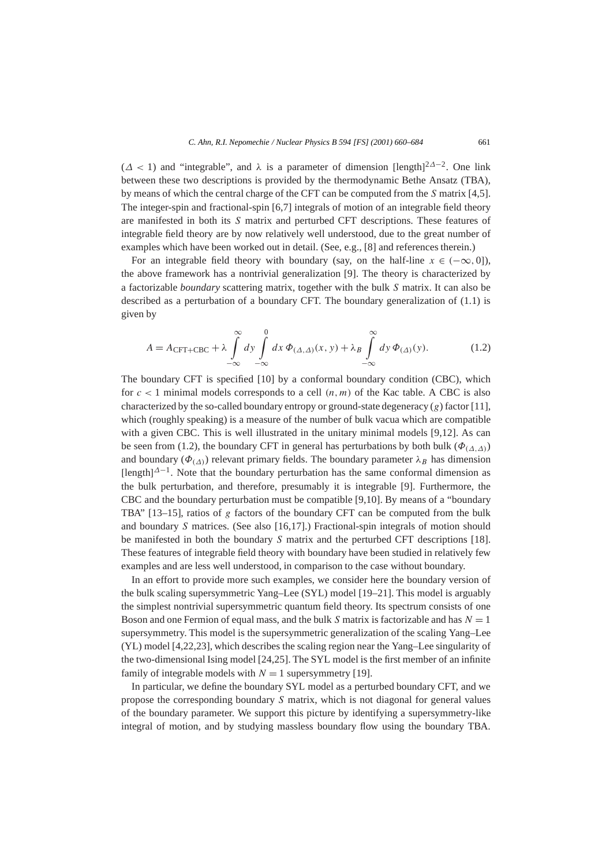(*∆ <* 1) and "integrable", and *λ* is a parameter of dimension [length] <sup>2</sup>*∆*<sup>−</sup>2. One link between these two descriptions is provided by the thermodynamic Bethe Ansatz (TBA), by means of which the central charge of the CFT can be computed from the *S* matrix [4,5]. The integer-spin and fractional-spin [6,7] integrals of motion of an integrable field theory are manifested in both its *S* matrix and perturbed CFT descriptions. These features of integrable field theory are by now relatively well understood, due to the great number of examples which have been worked out in detail. (See, e.g., [8] and references therein.)

For an integrable field theory with boundary (say, on the half-line  $x \in (-\infty, 0]$ ), the above framework has a nontrivial generalization [9]. The theory is characterized by a factorizable *boundary* scattering matrix, together with the bulk *S* matrix. It can also be described as a perturbation of a boundary CFT. The boundary generalization of (1.1) is given by

$$
A = A_{\text{CFT} + \text{CBC}} + \lambda \int_{-\infty}^{\infty} dy \int_{-\infty}^{0} dx \, \Phi_{(\Delta, \Delta)}(x, y) + \lambda_B \int_{-\infty}^{\infty} dy \, \Phi_{(\Delta)}(y). \tag{1.2}
$$

The boundary CFT is specified [10] by a conformal boundary condition (CBC), which for  $c < 1$  minimal models corresponds to a cell  $(n, m)$  of the Kac table. A CBC is also characterized by the so-called boundary entropy or ground-state degeneracy (*g*) factor [11], which (roughly speaking) is a measure of the number of bulk vacua which are compatible with a given CBC. This is well illustrated in the unitary minimal models [9,12]. As can be seen from (1.2), the boundary CFT in general has perturbations by both bulk ( $\Phi$ <sub>( $\Lambda$ , $\Lambda$ )</sub>) and boundary ( $\Phi$ <sub>( $\Delta$ )</sub>) relevant primary fields. The boundary parameter  $\lambda_B$  has dimension  $\left[{\rm length}\right]^{\Delta-1}$ . Note that the boundary perturbation has the same conformal dimension as the bulk perturbation, and therefore, presumably it is integrable [9]. Furthermore, the CBC and the boundary perturbation must be compatible [9,10]. By means of a "boundary TBA" [13–15], ratios of *g* factors of the boundary CFT can be computed from the bulk and boundary *S* matrices. (See also [16,17].) Fractional-spin integrals of motion should be manifested in both the boundary *S* matrix and the perturbed CFT descriptions [18]. These features of integrable field theory with boundary have been studied in relatively few examples and are less well understood, in comparison to the case without boundary.

In an effort to provide more such examples, we consider here the boundary version of the bulk scaling supersymmetric Yang–Lee (SYL) model [19–21]. This model is arguably the simplest nontrivial supersymmetric quantum field theory. Its spectrum consists of one Boson and one Fermion of equal mass, and the bulk *S* matrix is factorizable and has *N* = 1 supersymmetry. This model is the supersymmetric generalization of the scaling Yang–Lee (YL) model [4,22,23], which describes the scaling region near the Yang–Lee singularity of the two-dimensional Ising model [24,25]. The SYL model is the first member of an infinite family of integrable models with  $N = 1$  supersymmetry [19].

In particular, we define the boundary SYL model as a perturbed boundary CFT, and we propose the corresponding boundary *S* matrix, which is not diagonal for general values of the boundary parameter. We support this picture by identifying a supersymmetry-like integral of motion, and by studying massless boundary flow using the boundary TBA.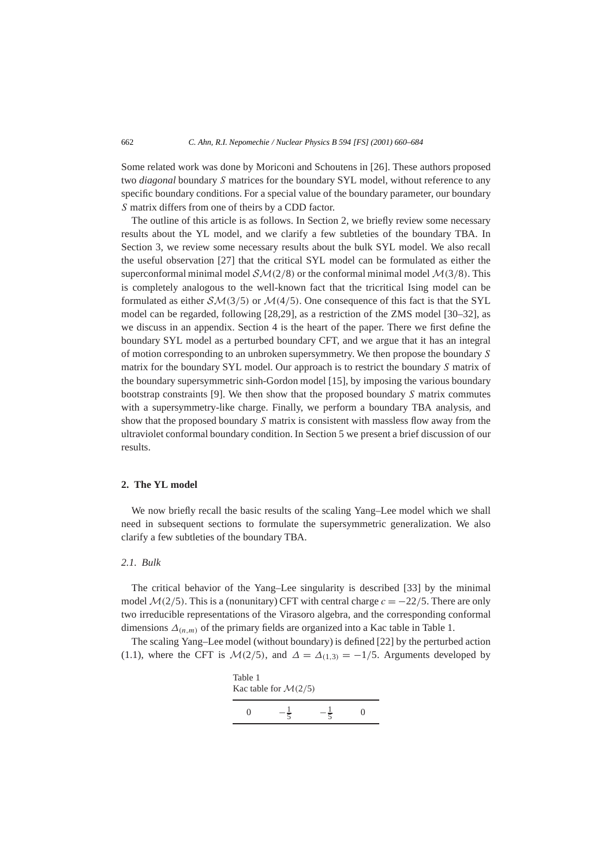Some related work was done by Moriconi and Schoutens in [26]. These authors proposed two *diagonal* boundary *S* matrices for the boundary SYL model, without reference to any specific boundary conditions. For a special value of the boundary parameter, our boundary *S* matrix differs from one of theirs by a CDD factor.

The outline of this article is as follows. In Section 2, we briefly review some necessary results about the YL model, and we clarify a few subtleties of the boundary TBA. In Section 3, we review some necessary results about the bulk SYL model. We also recall the useful observation [27] that the critical SYL model can be formulated as either the superconformal minimal model  $\mathcal{SM}(2/8)$  or the conformal minimal model  $\mathcal{M}(3/8)$ . This is completely analogous to the well-known fact that the tricritical Ising model can be formulated as either  $\mathcal{SM}(3/5)$  or  $\mathcal{M}(4/5)$ . One consequence of this fact is that the SYL model can be regarded, following [28,29], as a restriction of the ZMS model [30–32], as we discuss in an appendix. Section 4 is the heart of the paper. There we first define the boundary SYL model as a perturbed boundary CFT, and we argue that it has an integral of motion corresponding to an unbroken supersymmetry. We then propose the boundary *S* matrix for the boundary SYL model. Our approach is to restrict the boundary *S* matrix of the boundary supersymmetric sinh-Gordon model [15], by imposing the various boundary bootstrap constraints [9]. We then show that the proposed boundary *S* matrix commutes with a supersymmetry-like charge. Finally, we perform a boundary TBA analysis, and show that the proposed boundary *S* matrix is consistent with massless flow away from the ultraviolet conformal boundary condition. In Section 5 we present a brief discussion of our results.

# **2. The YL model**

We now briefly recall the basic results of the scaling Yang–Lee model which we shall need in subsequent sections to formulate the supersymmetric generalization. We also clarify a few subtleties of the boundary TBA.

### *2.1. Bulk*

The critical behavior of the Yang–Lee singularity is described [33] by the minimal model  $\mathcal{M}(2/5)$ . This is a (nonunitary) CFT with central charge  $c = -22/5$ . There are only two irreducible representations of the Virasoro algebra, and the corresponding conformal dimensions  $\Delta_{(n,m)}$  of the primary fields are organized into a Kac table in Table 1.

The scaling Yang–Lee model (without boundary) is defined [22] by the perturbed action (1.1), where the CFT is  $\mathcal{M}(2/5)$ , and  $\Delta = \Delta_{(1,3)} = -1/5$ . Arguments developed by

| Table 1<br>Kac table for $\mathcal{M}(2/5)$ |  |  |   |  |  |  |
|---------------------------------------------|--|--|---|--|--|--|
| 0                                           |  |  | 0 |  |  |  |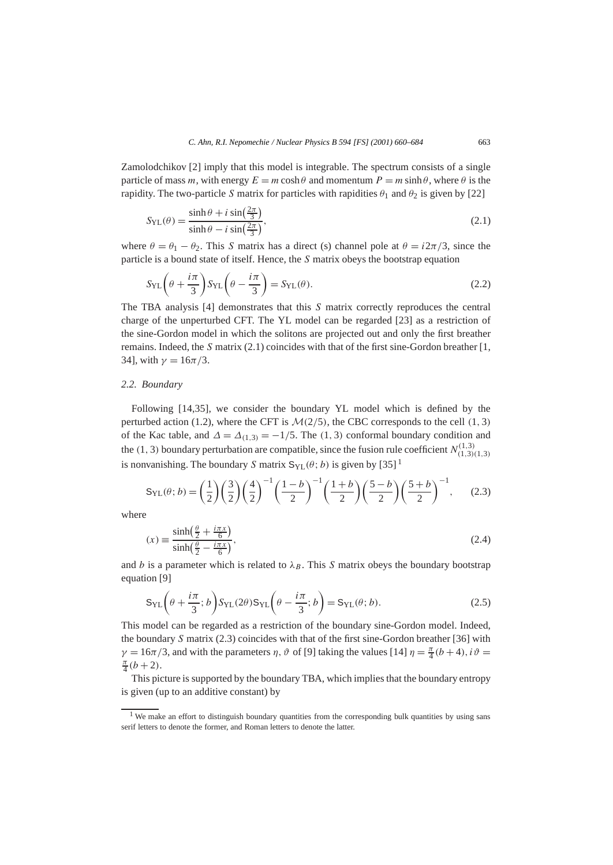Zamolodchikov [2] imply that this model is integrable. The spectrum consists of a single particle of mass *m*, with energy  $E = m \cosh \theta$  and momentum  $P = m \sinh \theta$ , where  $\theta$  is the rapidity. The two-particle *S* matrix for particles with rapidities  $\theta_1$  and  $\theta_2$  is given by [22]

$$
S_{\rm{YL}}(\theta) = \frac{\sinh \theta + i \sin(\frac{2\pi}{3})}{\sinh \theta - i \sin(\frac{2\pi}{3})},
$$
\n(2.1)

where  $\theta = \theta_1 - \theta_2$ . This *S* matrix has a direct (s) channel pole at  $\theta = i2\pi/3$ , since the particle is a bound state of itself. Hence, the *S* matrix obeys the bootstrap equation

$$
S_{\rm YL}\left(\theta + \frac{i\pi}{3}\right)S_{\rm YL}\left(\theta - \frac{i\pi}{3}\right) = S_{\rm YL}(\theta). \tag{2.2}
$$

The TBA analysis [4] demonstrates that this *S* matrix correctly reproduces the central charge of the unperturbed CFT. The YL model can be regarded [23] as a restriction of the sine-Gordon model in which the solitons are projected out and only the first breather remains. Indeed, the *S* matrix (2.1) coincides with that of the first sine-Gordon breather [1, 34], with  $\gamma = 16\pi/3$ .

## *2.2. Boundary*

Following [14,35], we consider the boundary YL model which is defined by the perturbed action (1.2), where the CFT is  $M(2/5)$ , the CBC corresponds to the cell (1, 3) of the Kac table, and  $\Delta = \Delta_{(1,3)} = -1/5$ . The  $(1,3)$  conformal boundary condition and the (1, 3) boundary perturbation are compatible, since the fusion rule coefficient  $N_{(1,3)(1,3)}^{(1,3)}$ is nonvanishing. The boundary *S* matrix  $S_{\text{VI}}(\theta; b)$  is given by [35]<sup>1</sup>

$$
S_{\rm{YL}}(\theta; b) = \left(\frac{1}{2}\right) \left(\frac{3}{2}\right) \left(\frac{4}{2}\right)^{-1} \left(\frac{1-b}{2}\right)^{-1} \left(\frac{1+b}{2}\right) \left(\frac{5-b}{2}\right) \left(\frac{5+b}{2}\right)^{-1},\tag{2.3}
$$

where

$$
(x) \equiv \frac{\sinh\left(\frac{\theta}{2} + \frac{i\pi x}{6}\right)}{\sinh\left(\frac{\theta}{2} - \frac{i\pi x}{6}\right)},\tag{2.4}
$$

and *b* is a parameter which is related to  $\lambda_B$ . This *S* matrix obeys the boundary bootstrap equation [9]

$$
S_{\text{YL}}\left(\theta + \frac{i\pi}{3}; b\right)S_{\text{YL}}(2\theta)S_{\text{YL}}\left(\theta - \frac{i\pi}{3}; b\right) = S_{\text{YL}}(\theta; b). \tag{2.5}
$$

This model can be regarded as a restriction of the boundary sine-Gordon model. Indeed, the boundary *S* matrix (2.3) coincides with that of the first sine-Gordon breather [36] with  $\gamma = 16\pi/3$ , and with the parameters *η*,  $\vartheta$  of [9] taking the values [14]  $\eta = \frac{\pi}{4}(b+4)$ ,  $i\vartheta = \frac{\pi}{4}(b+2)$  $\frac{\pi}{4} (b+2)$ .

This picture is supported by the boundary TBA, which implies that the boundary entropy is given (up to an additive constant) by

<sup>&</sup>lt;sup>1</sup> We make an effort to distinguish boundary quantities from the corresponding bulk quantities by using sans serif letters to denote the former, and Roman letters to denote the latter.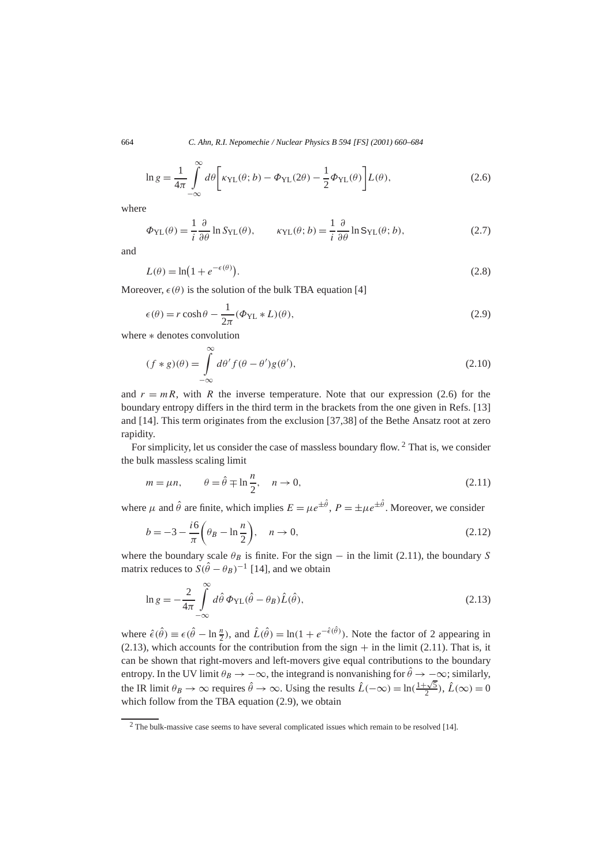$$
\ln g = \frac{1}{4\pi} \int_{-\infty}^{\infty} d\theta \left[ \kappa_{\text{YL}}(\theta; b) - \Phi_{\text{YL}}(2\theta) - \frac{1}{2} \Phi_{\text{YL}}(\theta) \right] L(\theta), \tag{2.6}
$$

where

$$
\Phi_{\rm{YL}}(\theta) = \frac{1}{i} \frac{\partial}{\partial \theta} \ln S_{\rm{YL}}(\theta), \qquad \kappa_{\rm{YL}}(\theta; b) = \frac{1}{i} \frac{\partial}{\partial \theta} \ln S_{\rm{YL}}(\theta; b), \tag{2.7}
$$

and

$$
L(\theta) = \ln(1 + e^{-\epsilon(\theta)}).
$$
\n(2.8)

Moreover,  $\epsilon(\theta)$  is the solution of the bulk TBA equation [4]

$$
\epsilon(\theta) = r \cosh \theta - \frac{1}{2\pi} (\Phi_{\text{YL}} * L)(\theta), \tag{2.9}
$$

where ∗ denotes convolution

$$
(f * g)(\theta) = \int_{-\infty}^{\infty} d\theta' f(\theta - \theta') g(\theta'),
$$
\n(2.10)

and  $r = mR$ , with R the inverse temperature. Note that our expression (2.6) for the boundary entropy differs in the third term in the brackets from the one given in Refs. [13] and [14]. This term originates from the exclusion [37,38] of the Bethe Ansatz root at zero rapidity.

For simplicity, let us consider the case of massless boundary flow. <sup>2</sup> That is, we consider the bulk massless scaling limit

$$
m = \mu n, \qquad \theta = \hat{\theta} \mp \ln \frac{n}{2}, \quad n \to 0,
$$
\n(2.11)

where  $\mu$  and  $\hat{\theta}$  are finite, which implies  $E = \mu e^{\pm \hat{\theta}}$ ,  $P = \pm \mu e^{\pm \hat{\theta}}$ . Moreover, we consider

$$
b = -3 - \frac{i6}{\pi} \left( \theta_B - \ln \frac{n}{2} \right), \quad n \to 0,
$$
\n(2.12)

where the boundary scale  $\theta_B$  is finite. For the sign – in the limit (2.11), the boundary *S* matrix reduces to  $S(\hat{\theta} - \theta_B)^{-1}$  [14], and we obtain

$$
\ln g = -\frac{2}{4\pi} \int_{-\infty}^{\infty} d\hat{\theta} \, \Phi_{\text{YL}}(\hat{\theta} - \theta_B) \hat{L}(\hat{\theta}), \tag{2.13}
$$

where  $\hat{\epsilon}(\hat{\theta}) \equiv \epsilon(\hat{\theta} - \ln \frac{n}{2})$ , and  $\hat{L}(\hat{\theta}) = \ln(1 + e^{-\hat{\epsilon}(\hat{\theta})})$ . Note the factor of 2 appearing in  $(2.13)$ , which accounts for the contribution from the sign  $+$  in the limit (2.11). That is, it can be shown that right-movers and left-movers give equal contributions to the boundary entropy. In the UV limit  $\theta_B \to -\infty$ , the integrand is nonvanishing for  $\hat{\theta} \to -\infty$ ; similarly, the IR limit  $\theta_B \to \infty$  requires  $\hat{\theta} \to \infty$ . Using the results  $\hat{L}(-\infty) = \ln(\frac{1+\sqrt{5}}{2})$ ,  $\hat{L}(\infty) = 0$ which follow from the TBA equation (2.9), we obtain

<sup>2</sup> The bulk-massive case seems to have several complicated issues which remain to be resolved [14].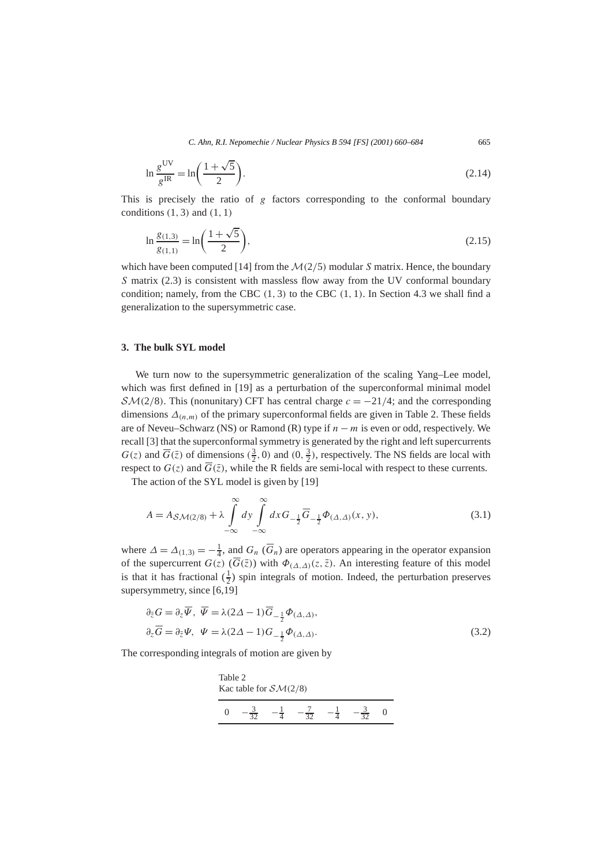$$
\ln \frac{g^{\text{UV}}}{g^{\text{IR}}} = \ln \left( \frac{1 + \sqrt{5}}{2} \right). \tag{2.14}
$$

This is precisely the ratio of *g* factors corresponding to the conformal boundary conditions *(*1*,* 3*)* and *(*1*,* 1*)*

$$
\ln \frac{g_{(1,3)}}{g_{(1,1)}} = \ln \left( \frac{1+\sqrt{5}}{2} \right),\tag{2.15}
$$

which have been computed [14] from the  $\mathcal{M}(2/5)$  modular *S* matrix. Hence, the boundary *S* matrix (2.3) is consistent with massless flow away from the UV conformal boundary condition; namely, from the CBC *(*1*,* 3*)* to the CBC *(*1*,* 1*)*. In Section 4.3 we shall find a generalization to the supersymmetric case.

# **3. The bulk SYL model**

We turn now to the supersymmetric generalization of the scaling Yang–Lee model, which was first defined in [19] as a perturbation of the superconformal minimal model  $\mathcal{SM}(2/8)$ . This (nonunitary) CFT has central charge  $c = -21/4$ ; and the corresponding dimensions  $\Delta_{(n,m)}$  of the primary superconformal fields are given in Table 2. These fields are of Neveu–Schwarz (NS) or Ramond (R) type if *n* − *m* is even or odd, respectively. We recall [3] that the superconformal symmetry is generated by the right and left supercurrents  $G(z)$  and  $\overline{G}(\overline{z})$  of dimensions  $(\frac{3}{2}, 0)$  and  $(0, \frac{3}{2})$ , respectively. The NS fields are local with respect to  $G(z)$  and  $G(\overline{z})$ , while the R fields are semi-local with respect to these currents.

The action of the SYL model is given by [19]

$$
A = A_{\mathcal{SM}(2/8)} + \lambda \int_{-\infty}^{\infty} dy \int_{-\infty}^{\infty} dx G_{-\frac{1}{2}} \overline{G}_{-\frac{1}{2}} \Phi_{(\Delta,\Delta)}(x, y), \tag{3.1}
$$

where  $\Delta = \Delta_{(1,3)} = -\frac{1}{4}$ , and  $G_n$  ( $\overline{G}_n$ ) are operators appearing in the operator expansion of the supercurrent  $G(z)$  ( $\overline{G}(\overline{z})$ ) with  $\Phi_{(\Delta,\Delta)}(z,\overline{z})$ . An interesting feature of this model is that it has fractional  $(\frac{1}{2})$  spin integrals of motion. Indeed, the perturbation preserves supersymmetry, since [6,19]

$$
\partial_{\bar{z}} G = \partial_z \overline{\Psi}, \ \overline{\Psi} = \lambda (2\Delta - 1) \overline{G}_{-\frac{1}{2}} \Phi_{(\Delta, \Delta)}, \n\partial_z \overline{G} = \partial_{\bar{z}} \Psi, \ \Psi = \lambda (2\Delta - 1) G_{-\frac{1}{2}} \Phi_{(\Delta, \Delta)}.
$$
\n(3.2)

The corresponding integrals of motion are given by

Table 2  
Kac table for 
$$
\mathcal{SM}(2/8)
$$
  

$$
0 \quad -\frac{3}{32} \quad -\frac{1}{4} \quad -\frac{7}{32} \quad -\frac{1}{4} \quad -\frac{3}{32} \quad 0
$$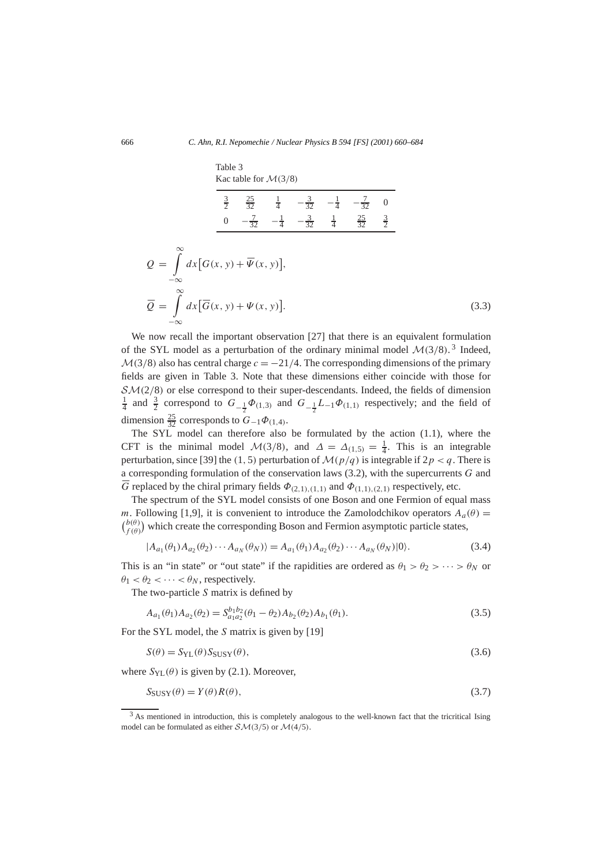|                                                                          | Table 3     | Kac table for $\mathcal{M}(3/8)$                                                             |                                                                              |  |                |  |       |
|--------------------------------------------------------------------------|-------------|----------------------------------------------------------------------------------------------|------------------------------------------------------------------------------|--|----------------|--|-------|
|                                                                          | $rac{3}{2}$ |                                                                                              | $\frac{25}{32}$ $\frac{1}{4}$ $-\frac{3}{32}$ $-\frac{1}{4}$ $-\frac{7}{32}$ |  | $\overline{0}$ |  |       |
|                                                                          |             | 0 $-\frac{7}{32}$ $-\frac{1}{4}$ $-\frac{3}{32}$ $\frac{1}{4}$ $\frac{25}{32}$ $\frac{3}{2}$ |                                                                              |  |                |  |       |
| $Q = \int dx [G(x, y) + \overline{\Psi}(x, y)],$<br>$-\infty$            |             |                                                                                              |                                                                              |  |                |  |       |
| $\overline{Q} = \int dx [\overline{G}(x, y) + \Psi(x, y)].$<br>$-\infty$ |             |                                                                                              |                                                                              |  |                |  | (3.3) |

We now recall the important observation [27] that there is an equivalent formulation of the SYL model as a perturbation of the ordinary minimal model  $\mathcal{M}(3/8)$ .<sup>3</sup> Indeed,  $M(3/8)$  also has central charge  $c = -21/4$ . The corresponding dimensions of the primary fields are given in Table 3. Note that these dimensions either coincide with those for  $\mathcal{SM}(2/8)$  or else correspond to their super-descendants. Indeed, the fields of dimension  $\frac{1}{4}$  and  $\frac{3}{2}$  correspond to  $G_{-\frac{1}{2}}\Phi_{(1,3)}$  and  $G_{-\frac{1}{2}}L_{-1}\Phi_{(1,1)}$  respectively; and the field of dimension  $\frac{25}{32}$  corresponds to  $G_{-1}\Phi_{(1,4)}$ .

The SYL model can therefore also be formulated by the action (1.1), where the CFT is the minimal model  $\mathcal{M}(3/8)$ , and  $\Delta = \Delta_{(1,5)} = \frac{1}{4}$ . This is an integrable perturbation, since [39] the (1, 5) perturbation of  $\mathcal{M}(p/q)$  is integrable if  $2p < q$ . There is a corresponding formulation of the conservation laws (3.2), with the supercurrents *G* and *G* replaced by the chiral primary fields  $\Phi_{(2,1),(1,1)}$  and  $\Phi_{(1,1),(2,1)}$  respectively, etc.

The spectrum of the SYL model consists of one Boson and one Fermion of equal mass *m*. Following [1,9], it is convenient to introduce the Zamolodchikov operators  $A_a(\theta)$  =  $b^{(b(\theta))}_{f(\theta)}$  which create the corresponding Boson and Fermion asymptotic particle states,

$$
|A_{a_1}(\theta_1)A_{a_2}(\theta_2)\cdots A_{a_N}(\theta_N)\rangle = A_{a_1}(\theta_1)A_{a_2}(\theta_2)\cdots A_{a_N}(\theta_N)|0\rangle.
$$
 (3.4)

This is an "in state" or "out state" if the rapidities are ordered as  $\theta_1 > \theta_2 > \cdots > \theta_N$  or  $\theta_1 < \theta_2 < \cdots < \theta_N$ , respectively.

The two-particle *S* matrix is defined by

$$
A_{a_1}(\theta_1)A_{a_2}(\theta_2) = S_{a_1 a_2}^{b_1 b_2}(\theta_1 - \theta_2)A_{b_2}(\theta_2)A_{b_1}(\theta_1).
$$
\n(3.5)

For the SYL model, the *S* matrix is given by [19]

$$
S(\theta) = S_{\text{YL}}(\theta) S_{\text{SUSY}}(\theta), \tag{3.6}
$$

where  $S_{\text{YL}}(\theta)$  is given by (2.1). Moreover,

$$
S_{\text{SUSY}}(\theta) = Y(\theta)R(\theta),\tag{3.7}
$$

<sup>&</sup>lt;sup>3</sup> As mentioned in introduction, this is completely analogous to the well-known fact that the tricritical Ising model can be formulated as either  $\mathcal{SM}(3/5)$  or  $\mathcal{M}(4/5)$ .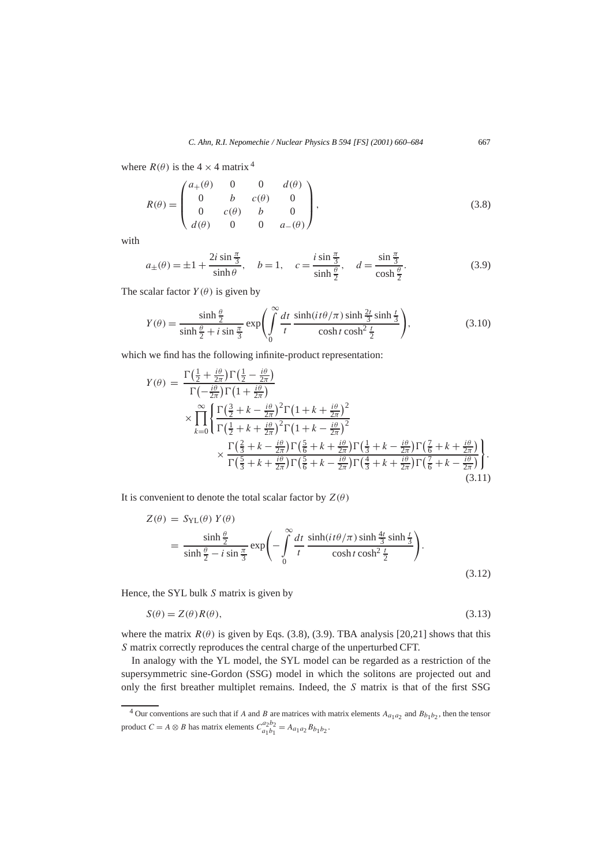where  $R(\theta)$  is the  $4 \times 4$  matrix <sup>4</sup>

$$
R(\theta) = \begin{pmatrix} a_{+}(\theta) & 0 & 0 & d(\theta) \\ 0 & b & c(\theta) & 0 \\ 0 & c(\theta) & b & 0 \\ d(\theta) & 0 & 0 & a_{-}(\theta) \end{pmatrix},
$$
(3.8)

with

$$
a_{\pm}(\theta) = \pm 1 + \frac{2i \sin \frac{\pi}{3}}{\sinh \theta}, \quad b = 1, \quad c = \frac{i \sin \frac{\pi}{3}}{\sinh \frac{\theta}{2}}, \quad d = \frac{\sin \frac{\pi}{3}}{\cosh \frac{\theta}{2}}.
$$
 (3.9)

The scalar factor  $Y(\theta)$  is given by

$$
Y(\theta) = \frac{\sinh\frac{\theta}{2}}{\sinh\frac{\theta}{2} + i\sin\frac{\pi}{3}} \exp\left(\int\limits_{0}^{\infty} \frac{dt}{t} \frac{\sinh(it\theta/\pi)\sinh\frac{2t}{3}\sinh\frac{t}{3}}{\cosh t\cosh^2\frac{t}{2}}\right),\tag{3.10}
$$

which we find has the following infinite-product representation:

$$
Y(\theta) = \frac{\Gamma(\frac{1}{2} + \frac{i\theta}{2\pi})\Gamma(\frac{1}{2} - \frac{i\theta}{2\pi})}{\Gamma(-\frac{i\theta}{2\pi})\Gamma(1 + \frac{i\theta}{2\pi})} \times \prod_{k=0}^{\infty} \frac{\Gamma(\frac{3}{2} + k - \frac{i\theta}{2\pi})^2 \Gamma(1 + k + \frac{i\theta}{2\pi})^2}{\Gamma(\frac{1}{2} + k + \frac{i\theta}{2\pi})^2 \Gamma(1 + k - \frac{i\theta}{2\pi})^2} \times \frac{\Gamma(\frac{2}{3} + k - \frac{i\theta}{2\pi})\Gamma(\frac{5}{6} + k + \frac{i\theta}{2\pi})\Gamma(\frac{1}{3} + k - \frac{i\theta}{2\pi})\Gamma(\frac{7}{6} + k + \frac{i\theta}{2\pi})}{\Gamma(\frac{5}{3} + k + \frac{i\theta}{2\pi})\Gamma(\frac{5}{6} + k - \frac{i\theta}{2\pi})\Gamma(\frac{4}{3} + k + \frac{i\theta}{2\pi})\Gamma(\frac{7}{6} + k - \frac{i\theta}{2\pi})}.
$$
\n(3.11)

It is convenient to denote the total scalar factor by  $Z(\theta)$ 

$$
Z(\theta) = S_{\text{YL}}(\theta) Y(\theta)
$$
  
= 
$$
\frac{\sinh \frac{\theta}{2}}{\sinh \frac{\theta}{2} - i \sin \frac{\pi}{3}} \exp\left(-\int_{0}^{\infty} \frac{dt}{t} \frac{\sinh(it\theta/\pi) \sinh \frac{4t}{3} \sinh \frac{t}{3}}{\cosh t \cosh^2 \frac{t}{2}}\right).
$$
 (3.12)

Hence, the SYL bulk *S* matrix is given by

$$
S(\theta) = Z(\theta)R(\theta),\tag{3.13}
$$

where the matrix  $R(\theta)$  is given by Eqs. (3.8), (3.9). TBA analysis [20,21] shows that this *S* matrix correctly reproduces the central charge of the unperturbed CFT.

In analogy with the YL model, the SYL model can be regarded as a restriction of the supersymmetric sine-Gordon (SSG) model in which the solitons are projected out and only the first breather multiplet remains. Indeed, the *S* matrix is that of the first SSG

 $\overline{4}$  Our conventions are such that if *A* and *B* are matrices with matrix elements  $A_{a_1 a_2}$  and  $B_{b_1 b_2}$ , then the tensor product  $C = A \otimes B$  has matrix elements  $C_{a_1b_1}^{a_2b_2} = A_{a_1a_2}B_{b_1b_2}$ .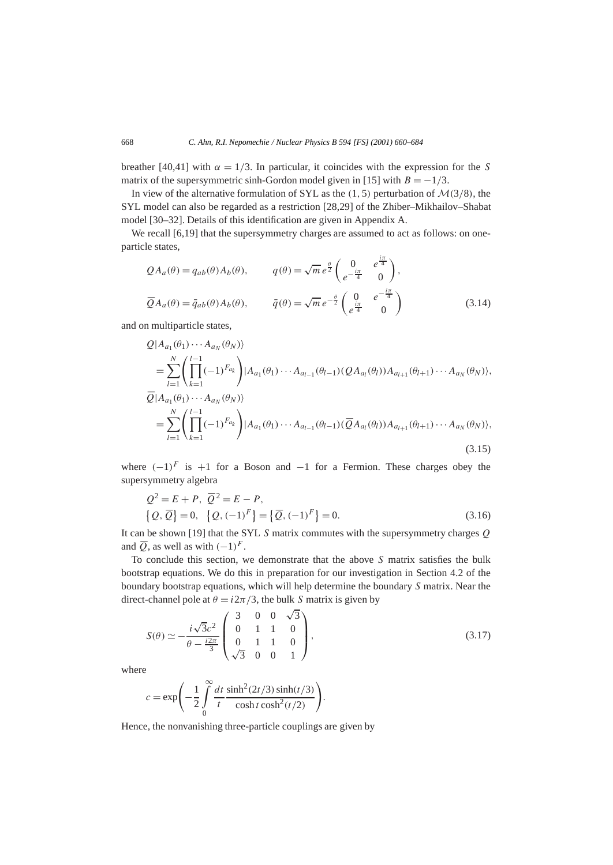breather [40,41] with  $\alpha = 1/3$ . In particular, it coincides with the expression for the *S* matrix of the supersymmetric sinh-Gordon model given in [15] with  $B = -1/3$ .

In view of the alternative formulation of SYL as the  $(1, 5)$  perturbation of  $\mathcal{M}(3/8)$ , the SYL model can also be regarded as a restriction [28,29] of the Zhiber–Mikhailov–Shabat model [30–32]. Details of this identification are given in Appendix A.

We recall [6,19] that the supersymmetry charges are assumed to act as follows: on oneparticle states,

$$
QA_a(\theta) = q_{ab}(\theta) A_b(\theta), \qquad q(\theta) = \sqrt{m} e^{\frac{\theta}{2}} \begin{pmatrix} 0 & e^{\frac{i\pi}{4}} \\ e^{-\frac{i\pi}{4}} & 0 \end{pmatrix},
$$
  

$$
\overline{Q}A_a(\theta) = \overline{q}_{ab}(\theta) A_b(\theta), \qquad \overline{q}(\theta) = \sqrt{m} e^{-\frac{\theta}{2}} \begin{pmatrix} 0 & e^{-\frac{i\pi}{4}} \\ e^{\frac{i\pi}{4}} & 0 \end{pmatrix}
$$
(3.14)

and on multiparticle states,

$$
Q|A_{a_1}(\theta_1)\cdots A_{a_N}(\theta_N)\rangle
$$
  
= 
$$
\sum_{l=1}^N \left(\prod_{k=1}^{l-1}(-1)^{F_{a_k}}\right)|A_{a_1}(\theta_1)\cdots A_{a_{l-1}}(\theta_{l-1})(QA_{a_l}(\theta_l))A_{a_{l+1}}(\theta_{l+1})\cdots A_{a_N}(\theta_N)\rangle,
$$
  

$$
\overline{Q}|A_{a_1}(\theta_1)\cdots A_{a_N}(\theta_N)\rangle
$$
  
= 
$$
\sum_{l=1}^N \left(\prod_{k=1}^{l-1}(-1)^{F_{a_k}}\right)|A_{a_1}(\theta_1)\cdots A_{a_{l-1}}(\theta_{l-1})(\overline{Q}A_{a_l}(\theta_l))A_{a_{l+1}}(\theta_{l+1})\cdots A_{a_N}(\theta_N)\rangle,
$$
(3.15)

where  $(-1)^F$  is +1 for a Boson and  $-1$  for a Fermion. These charges obey the supersymmetry algebra

$$
Q^{2} = E + P, \ \overline{Q}^{2} = E - P,
$$
  

$$
\{Q, \overline{Q}\} = 0, \ \{Q, (-1)^{F}\} = \{\overline{Q}, (-1)^{F}\} = 0.
$$
 (3.16)

It can be shown [19] that the SYL *S* matrix commutes with the supersymmetry charges *Q* and  $\overline{O}$ , as well as with  $(-1)^F$ .

To conclude this section, we demonstrate that the above *S* matrix satisfies the bulk bootstrap equations. We do this in preparation for our investigation in Section 4.2 of the boundary bootstrap equations, which will help determine the boundary *S* matrix. Near the direct-channel pole at  $\theta = i2\pi/3$ , the bulk *S* matrix is given by

$$
S(\theta) \simeq -\frac{i\sqrt{3}c^2}{\theta - \frac{i2\pi}{3}} \begin{pmatrix} 3 & 0 & 0 & \sqrt{3} \\ 0 & 1 & 1 & 0 \\ 0 & 1 & 1 & 0 \\ \sqrt{3} & 0 & 0 & 1 \end{pmatrix},
$$
(3.17)

where

$$
c = \exp\left(-\frac{1}{2}\int_{0}^{\infty} \frac{dt}{t} \frac{\sinh^2(2t/3)\sinh(t/3)}{\cosh t \cosh^2(t/2)}\right).
$$

Hence, the nonvanishing three-particle couplings are given by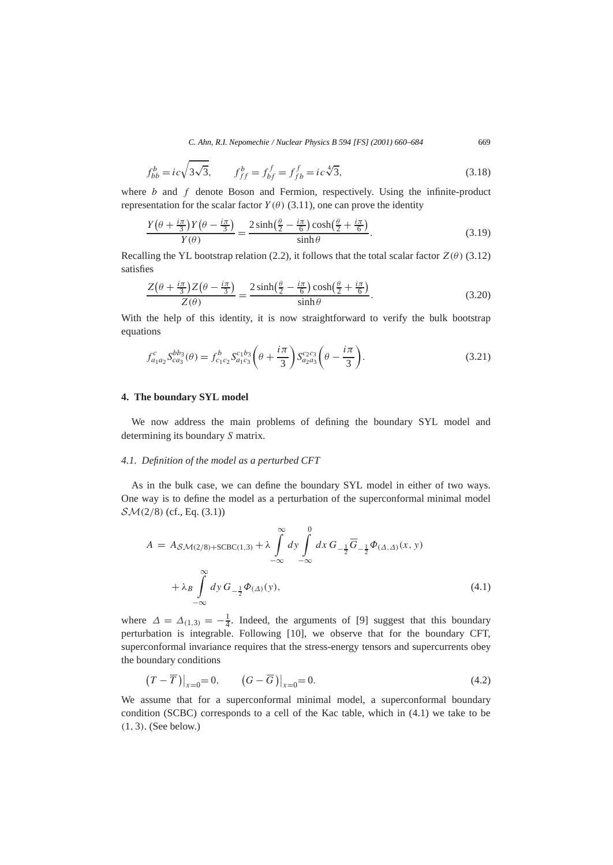$$
f_{bb}^b = ic\sqrt{3\sqrt{3}}, \qquad f_{ff}^b = f_{bf}^f = f_{fb}^f = ic\sqrt[4]{3}, \tag{3.18}
$$

where *b* and *f* denote Boson and Fermion, respectively. Using the infinite-product representation for the scalar factor  $Y(\theta)$  (3.11), one can prove the identity

$$
\frac{Y(\theta + \frac{i\pi}{3})Y(\theta - \frac{i\pi}{3})}{Y(\theta)} = \frac{2\sinh(\frac{\theta}{2} - \frac{i\pi}{6})\cosh(\frac{\theta}{2} + \frac{i\pi}{6})}{\sinh\theta}.
$$
(3.19)

Recalling the YL bootstrap relation (2.2), it follows that the total scalar factor  $Z(\theta)$  (3.12) satisfies

$$
\frac{Z(\theta + \frac{i\pi}{3})Z(\theta - \frac{i\pi}{3})}{Z(\theta)} = \frac{2\sinh(\frac{\theta}{2} - \frac{i\pi}{6})\cosh(\frac{\theta}{2} + \frac{i\pi}{6})}{\sinh\theta}.
$$
(3.20)

With the help of this identity, it is now straightforward to verify the bulk bootstrap equations

$$
f_{a_1 a_2}^c S_{ca_3}^{bb_3}(\theta) = f_{c_1 c_2}^b S_{a_1 c_3}^{c_1 b_3} \left(\theta + \frac{i\pi}{3}\right) S_{a_2 a_3}^{c_2 c_3} \left(\theta - \frac{i\pi}{3}\right).
$$
 (3.21)

#### **4. The boundary SYL model**

We now address the main problems of defining the boundary SYL model and determining its boundary *S* matrix.

## *4.1. Definition of the model as a perturbed CFT*

As in the bulk case, we can define the boundary SYL model in either of two ways. One way is to define the model as a perturbation of the superconformal minimal model SM*(*2*/*8*)* (cf., Eq. (3.1))

$$
A = A_{\mathcal{SM}(2/8)+\text{SCBC}(1,3)} + \lambda \int_{-\infty}^{\infty} dy \int_{-\infty}^{0} dx G_{-\frac{1}{2}} \overline{G}_{-\frac{1}{2}} \Phi_{(\Delta,\Delta)}(x, y)
$$
  
+  $\lambda_B \int_{-\infty}^{\infty} dy G_{-\frac{1}{2}} \Phi_{(\Delta)}(y),$  (4.1)

where  $\Delta = \Delta_{(1,3)} = -\frac{1}{4}$ . Indeed, the arguments of [9] suggest that this boundary perturbation is integrable. Following [10], we observe that for the boundary CFT, superconformal invariance requires that the stress-energy tensors and supercurrents obey the boundary conditions

$$
\left(T-\overline{T}\right)\big|_{x=0}=0,\qquad \left(G-\overline{G}\right)\big|_{x=0}=0.\tag{4.2}
$$

We assume that for a superconformal minimal model, a superconformal boundary condition (SCBC) corresponds to a cell of the Kac table, which in (4.1) we take to be *(*1*,* 3*)*. (See below.)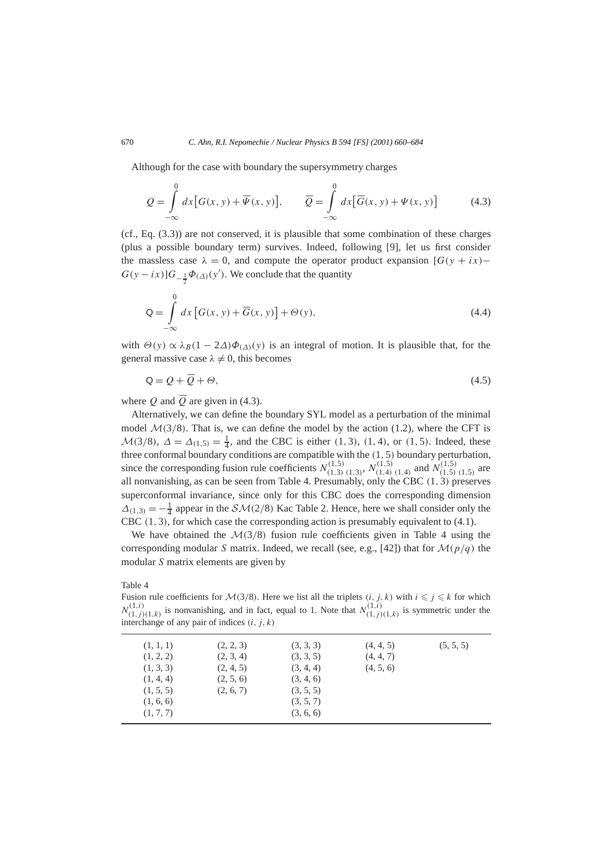Although for the case with boundary the supersymmetry charges

$$
Q = \int_{-\infty}^{0} dx \big[ G(x, y) + \overline{\Psi}(x, y) \big], \qquad \overline{Q} = \int_{-\infty}^{0} dx \big[ \overline{G}(x, y) + \Psi(x, y) \big] \tag{4.3}
$$

(cf., Eq. (3.3)) are not conserved, it is plausible that some combination of these charges (plus a possible boundary term) survives. Indeed, following [9], let us first consider the massless case  $\lambda = 0$ , and compute the operator product expansion  $[G(y + ix)$ −  $G(y - ix)$ ] $G_{-\frac{1}{2}}\Phi_{(\Delta)}(y')$ . We conclude that the quantity

$$
Q = \int_{-\infty}^{0} dx \left[ G(x, y) + \overline{G}(x, y) \right] + \Theta(y), \tag{4.4}
$$

with  $\Theta(y) \propto \lambda_B(1 - 2\Delta)\Phi_{(\Lambda)}(y)$  is an integral of motion. It is plausible that, for the general massive case  $\lambda \neq 0$ , this becomes

$$
\mathsf{Q} = \mathcal{Q} + \overline{\mathcal{Q}} + \Theta,\tag{4.5}
$$

where *Q* and  $\overline{Q}$  are given in (4.3).

Alternatively, we can define the boundary SYL model as a perturbation of the minimal model  $\mathcal{M}(3/8)$ . That is, we can define the model by the action (1.2), where the CFT is  $M(3/8)$ ,  $\Delta = \Delta_{(1,5)} = \frac{1}{4}$ , and the CBC is either (1,3), (1,4), or (1,5). Indeed, these three conformal boundary conditions are compatible with the *(*1*,* 5*)* boundary perturbation, since the corresponding fusion rule coefficients  $N_{(1,3)(1,3)}^{(1,5)}$ ,  $N_{(1,4)(1,4)}^{(1,5)}$  and  $N_{(1,5)(1,5)}^{(1,5)}$  are all nonvanishing, as can be seen from Table 4. Presumably, only the CBC *(*1*,* 3*)* preserves superconformal invariance, since only for this CBC does the corresponding dimension  $\Delta_{(1,3)} = -\frac{1}{4}$  appear in the  $\mathcal{SM}(2/8)$  Kac Table 2. Hence, here we shall consider only the CBC *(*1*,* 3*)*, for which case the corresponding action is presumably equivalent to (4.1).

We have obtained the  $\mathcal{M}(3/8)$  fusion rule coefficients given in Table 4 using the corresponding modular *S* matrix. Indeed, we recall (see, e.g., [42]) that for  $\mathcal{M}(p/q)$  the modular *S* matrix elements are given by

Table 4

Fusion rule coefficients for  $M(3/8)$ . Here we list all the triplets  $(i, j, k)$  with  $i \leq j \leq k$  for which  $N^{(1,i)}_{(1,j)(1,k)}$  is nonvanishing, and in fact, equal to 1. Note that  $N^{(1,i)}_{(1,j)(1,k)}$  is symmetric under the interchange of any pair of indices *(i, j, k)*

| (1, 1, 1)<br>(1, 2, 2)<br>(1, 3, 3)<br>(1, 4, 4)<br>(1, 5, 5)<br>(1, 6, 6) | (2, 2, 3)<br>(2, 3, 4)<br>(2, 4, 5)<br>(2, 5, 6)<br>(2, 6, 7) | (3, 3, 3)<br>(3, 3, 5)<br>(3, 4, 4)<br>(3, 4, 6)<br>(3, 5, 5)<br>(3, 5, 7) | (4, 4, 5)<br>(4, 4, 7)<br>(4, 5, 6) | (5, 5, 5) |
|----------------------------------------------------------------------------|---------------------------------------------------------------|----------------------------------------------------------------------------|-------------------------------------|-----------|
| (1, 7, 7)                                                                  |                                                               | (3, 6, 6)                                                                  |                                     |           |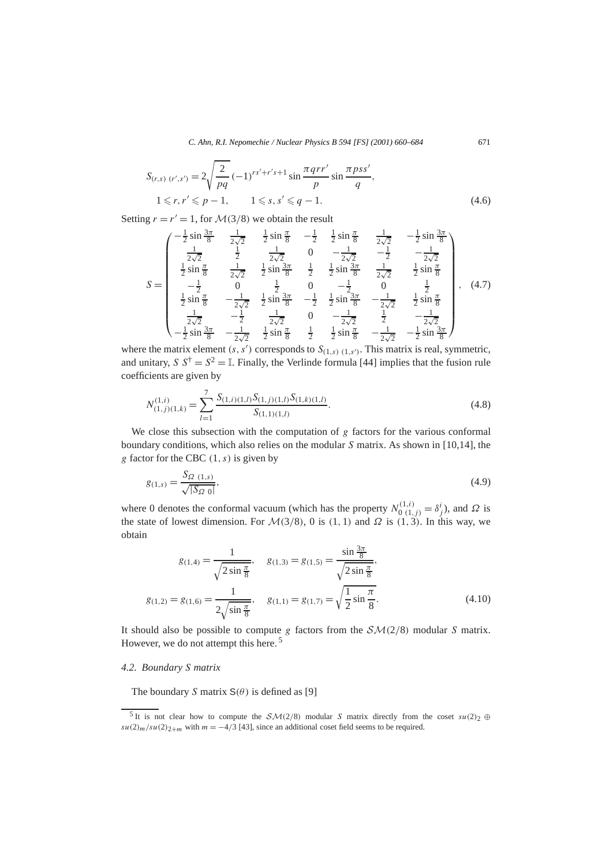$$
S_{(r,s) (r',s')} = 2\sqrt{\frac{2}{pq}} (-1)^{rs'+r's+1} \sin \frac{\pi qrr'}{p} \sin \frac{\pi pss'}{q},
$$
  

$$
1 \le r, r' \le p-1, \qquad 1 \le s, s' \le q-1.
$$
 (4.6)

Setting  $r = r' = 1$ , for  $\mathcal{M}(3/8)$  we obtain the result

$$
S = \begin{pmatrix} -\frac{1}{2}\sin\frac{3\pi}{8} & \frac{1}{2\sqrt{2}} & \frac{1}{2}\sin\frac{\pi}{8} & -\frac{1}{2} & \frac{1}{2}\sin\frac{\pi}{8} & \frac{1}{2\sqrt{2}} & -\frac{1}{2}\sin\frac{3\pi}{8} \\ \frac{1}{2\sqrt{2}} & \frac{1}{2} & \frac{1}{2\sqrt{2}} & 0 & -\frac{1}{2\sqrt{2}} & -\frac{1}{2} & -\frac{1}{2\sqrt{2}} \\ \frac{1}{2}\sin\frac{\pi}{8} & \frac{1}{2\sqrt{2}} & \frac{1}{2}\sin\frac{3\pi}{8} & \frac{1}{2} & \frac{1}{2}\sin\frac{3\pi}{8} & \frac{1}{2\sqrt{2}} & \frac{1}{2}\sin\frac{\pi}{8} \\ -\frac{1}{2} & 0 & \frac{1}{2} & 0 & -\frac{1}{2} & 0 & \frac{1}{2} \\ \frac{1}{2}\sin\frac{\pi}{8} & -\frac{1}{2\sqrt{2}} & \frac{1}{2}\sin\frac{3\pi}{8} & -\frac{1}{2} & \frac{1}{2}\sin\frac{3\pi}{8} & -\frac{1}{2\sqrt{2}} & \frac{1}{2}\sin\frac{\pi}{8} \\ \frac{1}{2\sqrt{2}} & -\frac{1}{2} & \frac{1}{2\sqrt{2}} & 0 & -\frac{1}{2\sqrt{2}} & \frac{1}{2} & -\frac{1}{2\sqrt{2}} \\ -\frac{1}{2}\sin\frac{3\pi}{8} & -\frac{1}{2\sqrt{2}} & \frac{1}{2}\sin\frac{\pi}{8} & \frac{1}{2} & \frac{1}{2}\sin\frac{\pi}{8} & -\frac{1}{2\sqrt{2}} & -\frac{1}{2}\sin\frac{3\pi}{8} \end{pmatrix}, (4.7)
$$

where the matrix element  $(s, s')$  corresponds to  $S_{(1,s)}$   $(1,s')$ . This matrix is real, symmetric, and unitary, *S*  $S^{\dagger} = S^2 = \mathbb{I}$ . Finally, the Verlinde formula [44] implies that the fusion rule coefficients are given by

$$
N_{(1,j)(1,k)}^{(1,i)} = \sum_{l=1}^{7} \frac{S_{(1,i)(1,l)} S_{(1,j)(1,l)} S_{(1,k)(1,l)}}{S_{(1,1)(1,l)}}.
$$
\n(4.8)

We close this subsection with the computation of *g* factors for the various conformal boundary conditions, which also relies on the modular *S* matrix. As shown in [10,14], the *g* factor for the CBC *(*1*,s)* is given by

$$
g_{(1,s)} = \frac{S_{\Omega}(1,s)}{\sqrt{|S_{\Omega}(0)|}},\tag{4.9}
$$

where 0 denotes the conformal vacuum (which has the property  $N_{0}^{(1,i)} = \delta_j^i$ ), and  $\Omega$  is the state of lowest dimension. For  $\mathcal{M}(3/8)$ , 0 is  $(1, 1)$  and  $\Omega$  is  $(1, 3)$ . In this way, we obtain

$$
g_{(1,4)} = \frac{1}{\sqrt{2 \sin \frac{\pi}{8}}}, \quad g_{(1,3)} = g_{(1,5)} = \frac{\sin \frac{3\pi}{8}}{\sqrt{2 \sin \frac{\pi}{8}}},
$$

$$
g_{(1,2)} = g_{(1,6)} = \frac{1}{2\sqrt{\sin \frac{\pi}{8}}}, \quad g_{(1,1)} = g_{(1,7)} = \sqrt{\frac{1}{2} \sin \frac{\pi}{8}}.
$$
(4.10)

It should also be possible to compute *g* factors from the  $\mathcal{SM}(2/8)$  modular *S* matrix. However, we do not attempt this here. <sup>5</sup>

## *4.2. Boundary S matrix*

The boundary *S* matrix  $S(\theta)$  is defined as [9]

<sup>&</sup>lt;sup>5</sup> It is not clear how to compute the  $SM(2/8)$  modular *S* matrix directly from the coset  $su(2)_2 \oplus$  $su(2)_m/su(2)_{2+m}$  with  $m = -4/3$  [43], since an additional coset field seems to be required.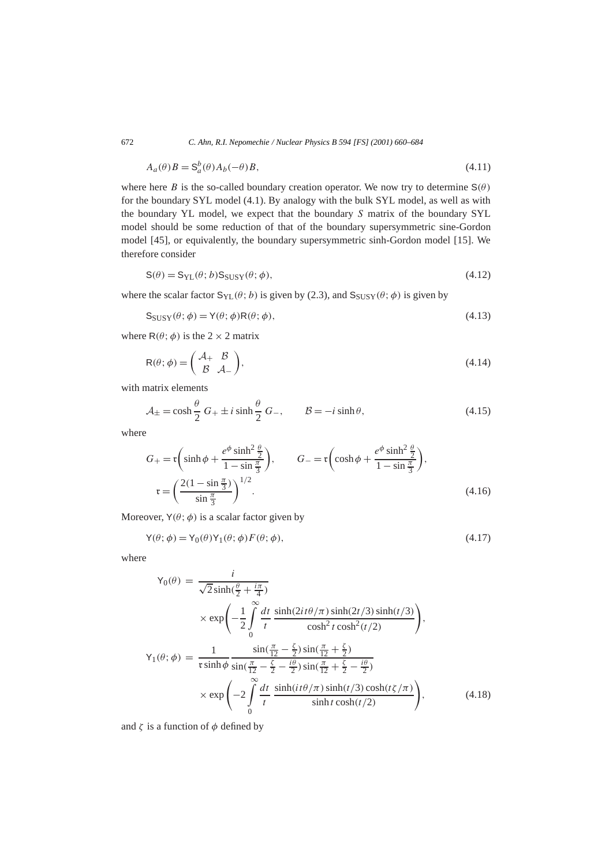$$
A_a(\theta)B = \mathbf{S}_a^b(\theta)A_b(-\theta)B,\tag{4.11}
$$

where here *B* is the so-called boundary creation operator. We now try to determine  $S(\theta)$ for the boundary SYL model (4.1). By analogy with the bulk SYL model, as well as with the boundary YL model, we expect that the boundary *S* matrix of the boundary SYL model should be some reduction of that of the boundary supersymmetric sine-Gordon model [45], or equivalently, the boundary supersymmetric sinh-Gordon model [15]. We therefore consider

$$
S(\theta) = S_{\text{YL}}(\theta; b) S_{\text{SUSY}}(\theta; \phi), \tag{4.12}
$$

where the scalar factor  $S_{YL}(\theta; b)$  is given by (2.3), and  $S_{SUSY}(\theta; \phi)$  is given by

$$
S_{SUSY}(\theta; \phi) = Y(\theta; \phi)R(\theta; \phi), \qquad (4.13)
$$

where  $R(\theta; \phi)$  is the 2 × 2 matrix

$$
R(\theta; \phi) = \begin{pmatrix} A_+ & B \\ B & A_- \end{pmatrix}, \tag{4.14}
$$

with matrix elements

$$
\mathcal{A}_{\pm} = \cosh\frac{\theta}{2} G_{+} \pm i \sinh\frac{\theta}{2} G_{-}, \qquad \mathcal{B} = -i \sinh\theta, \tag{4.15}
$$

where

$$
G_{+} = \mathfrak{r}\left(\sinh\phi + \frac{e^{\phi}\sinh^{2}\frac{\theta}{2}}{1-\sin\frac{\pi}{3}}\right), \qquad G_{-} = \mathfrak{r}\left(\cosh\phi + \frac{e^{\phi}\sinh^{2}\frac{\theta}{2}}{1-\sin\frac{\pi}{3}}\right),
$$

$$
\mathfrak{r} = \left(\frac{2(1-\sin\frac{\pi}{3})}{\sin\frac{\pi}{3}}\right)^{1/2}.
$$
(4.16)

Moreover,  $Y(\theta; \phi)$  is a scalar factor given by

$$
Y(\theta; \phi) = Y_0(\theta) Y_1(\theta; \phi) F(\theta; \phi), \qquad (4.17)
$$

where

$$
Y_0(\theta) = \frac{i}{\sqrt{2}\sinh(\frac{\theta}{2} + \frac{i\pi}{4})}
$$
  
\n
$$
\times \exp\left(-\frac{1}{2}\int_0^\infty \frac{dt}{t} \frac{\sinh(2it\theta/\pi)\sinh(2t/3)\sinh(t/3)}{\cosh^2 t \cosh^2(t/2)}\right),
$$
  
\n
$$
Y_1(\theta; \phi) = \frac{1}{\pi \sinh \phi} \frac{\sin(\frac{\pi}{12} - \frac{\zeta}{2})\sin(\frac{\pi}{12} + \frac{\zeta}{2})}{\sin(\frac{\pi}{12} - \frac{\zeta}{2} - \frac{i\theta}{2})\sin(\frac{\pi}{12} + \frac{\zeta}{2} - \frac{i\theta}{2})}
$$
  
\n
$$
\times \exp\left(-2\int_0^\infty \frac{dt}{t} \frac{\sinh(it\theta/\pi)\sinh(t/3)\cosh(t/\pi)}{\sinh t \cosh(t/2)}\right),
$$
(4.18)

and  $\zeta$  is a function of  $\phi$  defined by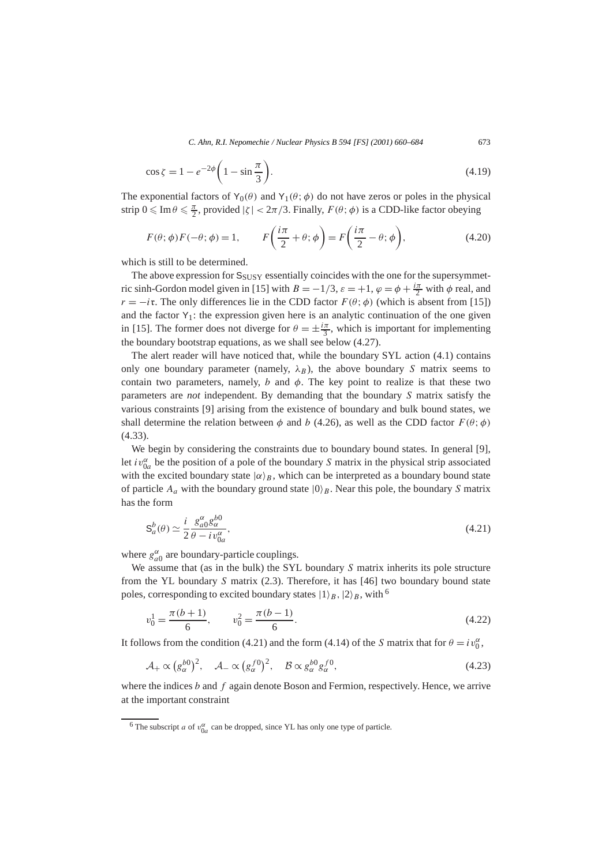$$
\cos \zeta = 1 - e^{-2\phi} \left( 1 - \sin \frac{\pi}{3} \right). \tag{4.19}
$$

The exponential factors of  $Y_0(\theta)$  and  $Y_1(\theta; \phi)$  do not have zeros or poles in the physical strip  $0 \le \text{Im } \theta \le \frac{\pi}{2}$ , provided  $|\zeta| < 2\pi/3$ . Finally,  $F(\theta; \phi)$  is a CDD-like factor obeying

$$
F(\theta; \phi) F(-\theta; \phi) = 1, \qquad F\left(\frac{i\pi}{2} + \theta; \phi\right) = F\left(\frac{i\pi}{2} - \theta; \phi\right), \tag{4.20}
$$

which is still to be determined.

The above expression for  $S_{SUSY}$  essentially coincides with the one for the supersymmetric sinh-Gordon model given in [15] with  $B = -1/3$ ,  $\varepsilon = +1$ ,  $\varphi = \phi + \frac{i\pi}{2}$  with  $\phi$  real, and *r* = −*i***r**. The only differences lie in the CDD factor  $F(\theta; \phi)$  (which is absent from [15]) and the factor  $Y_1$ : the expression given here is an analytic continuation of the one given in [15]. The former does not diverge for  $\theta = \pm \frac{i\pi}{3}$ , which is important for implementing the boundary bootstrap equations, as we shall see below (4.27).

The alert reader will have noticed that, while the boundary SYL action (4.1) contains only one boundary parameter (namely,  $\lambda_B$ ), the above boundary *S* matrix seems to contain two parameters, namely, *b* and  $\phi$ . The key point to realize is that these two parameters are *not* independent. By demanding that the boundary *S* matrix satisfy the various constraints [9] arising from the existence of boundary and bulk bound states, we shall determine the relation between  $\phi$  and *b* (4.26), as well as the CDD factor  $F(\theta; \phi)$ (4.33).

We begin by considering the constraints due to boundary bound states. In general [9], let  $iv_{0a}^{\alpha}$  be the position of a pole of the boundary *S* matrix in the physical strip associated with the excited boundary state  $|\alpha\rangle_B$ , which can be interpreted as a boundary bound state of particle  $A_a$  with the boundary ground state  $|0\rangle_B$ . Near this pole, the boundary *S* matrix has the form

$$
\mathbf{S}_a^b(\theta) \simeq \frac{i}{2} \frac{\mathcal{S}_{a0}^{\alpha} \mathcal{S}_{\alpha}^{b0}}{\theta - i v_{0a}^{\alpha}},\tag{4.21}
$$

where  $g_{a0}^{\alpha}$  are boundary-particle couplings.

We assume that (as in the bulk) the SYL boundary *S* matrix inherits its pole structure from the YL boundary *S* matrix (2.3). Therefore, it has [46] two boundary bound state poles, corresponding to excited boundary states  $|1\rangle_B$ ,  $|2\rangle_B$ , with <sup>6</sup>

$$
v_0^1 = \frac{\pi (b+1)}{6}, \qquad v_0^2 = \frac{\pi (b-1)}{6}.
$$
\n(4.22)

It follows from the condition (4.21) and the form (4.14) of the *S* matrix that for  $\theta = iv_0^{\alpha}$ ,

$$
\mathcal{A}_{+} \propto (g_{\alpha}^{b0})^{2}, \quad \mathcal{A}_{-} \propto (g_{\alpha}^{f0})^{2}, \quad \mathcal{B} \propto g_{\alpha}^{b0} g_{\alpha}^{f0}, \tag{4.23}
$$

where the indices *b* and *f* again denote Boson and Fermion, respectively. Hence, we arrive at the important constraint

<sup>&</sup>lt;sup>6</sup> The subscript *a* of  $v_{0a}^{\alpha}$  can be dropped, since YL has only one type of particle.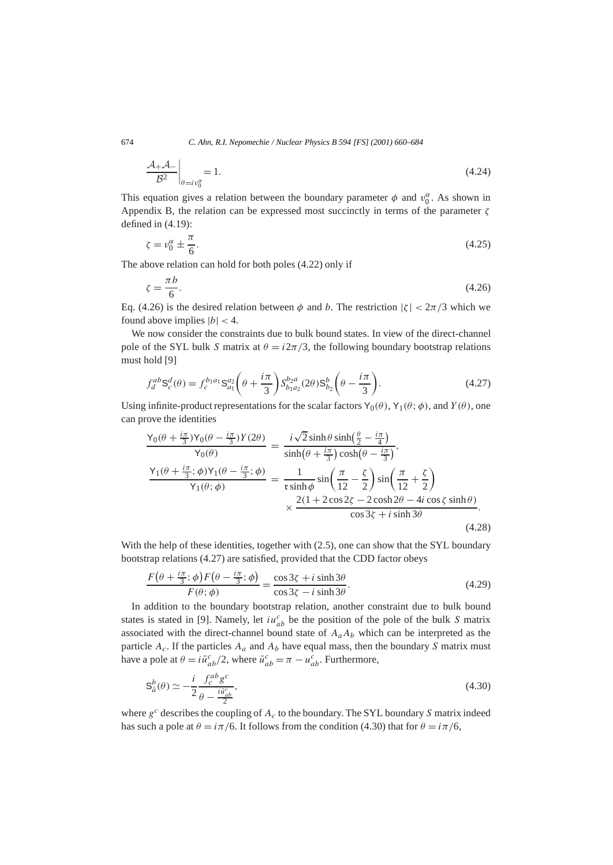$$
\left. \frac{\mathcal{A}_{+}\mathcal{A}_{-}}{\mathcal{B}^{2}} \right|_{\theta = iv_{0}^{\alpha}} = 1. \tag{4.24}
$$

This equation gives a relation between the boundary parameter  $\phi$  and  $v_0^{\alpha}$ . As shown in Appendix B, the relation can be expressed most succinctly in terms of the parameter *ζ* defined in (4.19):

$$
\zeta = v_0^{\alpha} \pm \frac{\pi}{6}.\tag{4.25}
$$

The above relation can hold for both poles (4.22) only if

$$
\zeta = \frac{\pi b}{6}.\tag{4.26}
$$

Eq. (4.26) is the desired relation between  $\phi$  and *b*. The restriction  $|\zeta| < 2\pi/3$  which we found above implies  $|b| < 4$ .

We now consider the constraints due to bulk bound states. In view of the direct-channel pole of the SYL bulk *S* matrix at  $\theta = i2\pi/3$ , the following boundary bootstrap relations must hold [9]

$$
f_d^{ab} \mathbf{S}_c^d(\theta) = f_c^{b_1 a_1} \mathbf{S}_{a_1}^{a_2} \left(\theta + \frac{i\pi}{3}\right) S_{b_1 a_2}^{b_2 a} (2\theta) \mathbf{S}_{b_2}^b \left(\theta - \frac{i\pi}{3}\right). \tag{4.27}
$$

Using infinite-product representations for the scalar factors  $Y_0(\theta)$ ,  $Y_1(\theta; \phi)$ , and  $Y(\theta)$ , one can prove the identities

$$
\frac{Y_0(\theta + \frac{i\pi}{3})Y_0(\theta - \frac{i\pi}{3})Y(2\theta)}{Y_0(\theta)} = \frac{i\sqrt{2}\sinh\theta\sinh(\frac{\theta}{2} - \frac{i\pi}{4})}{\sinh(\theta + \frac{i\pi}{3})\cosh(\theta - \frac{i\pi}{3})},
$$
\n
$$
\frac{Y_1(\theta + \frac{i\pi}{3};\phi)Y_1(\theta - \frac{i\pi}{3};\phi)}{Y_1(\theta;\phi)} = \frac{1}{r\sinh\phi}\sin\left(\frac{\pi}{12} - \frac{\zeta}{2}\right)\sin\left(\frac{\pi}{12} + \frac{\zeta}{2}\right)
$$
\n
$$
\times \frac{2(1 + 2\cos 2\zeta - 2\cosh 2\theta - 4i\cos \zeta\sinh\theta)}{\cos 3\zeta + i\sinh 3\theta}.
$$
\n(4.28)

With the help of these identities, together with (2.5), one can show that the SYL boundary bootstrap relations (4.27) are satisfied, provided that the CDD factor obeys

$$
\frac{F(\theta + \frac{i\pi}{3}; \phi)F(\theta - \frac{i\pi}{3}; \phi)}{F(\theta; \phi)} = \frac{\cos 3\zeta + i \sinh 3\theta}{\cos 3\zeta - i \sinh 3\theta}.
$$
(4.29)

In addition to the boundary bootstrap relation, another constraint due to bulk bound states is stated in [9]. Namely, let  $iu_{ab}^c$  be the position of the pole of the bulk *S* matrix associated with the direct-channel bound state of  $A_a A_b$  which can be interpreted as the particle  $A_c$ . If the particles  $A_a$  and  $A_b$  have equal mass, then the boundary *S* matrix must have a pole at  $\theta = i\bar{u}_{ab}^c/2$ , where  $\bar{u}_{ab}^c = \pi - u_{ab}^c$ . Furthermore,

$$
\mathbf{S}_{\bar{a}}^{b}(\theta) \simeq -\frac{i}{2} \frac{f_{c}^{ab} g^{c}}{\theta - \frac{i\bar{u}_{ab}^{c}}{2}},\tag{4.30}
$$

where *g<sup>c</sup>* describes the coupling of *Ac* to the boundary. The SYL boundary *S* matrix indeed has such a pole at  $\theta = i\pi/6$ . It follows from the condition (4.30) that for  $\theta = i\pi/6$ ,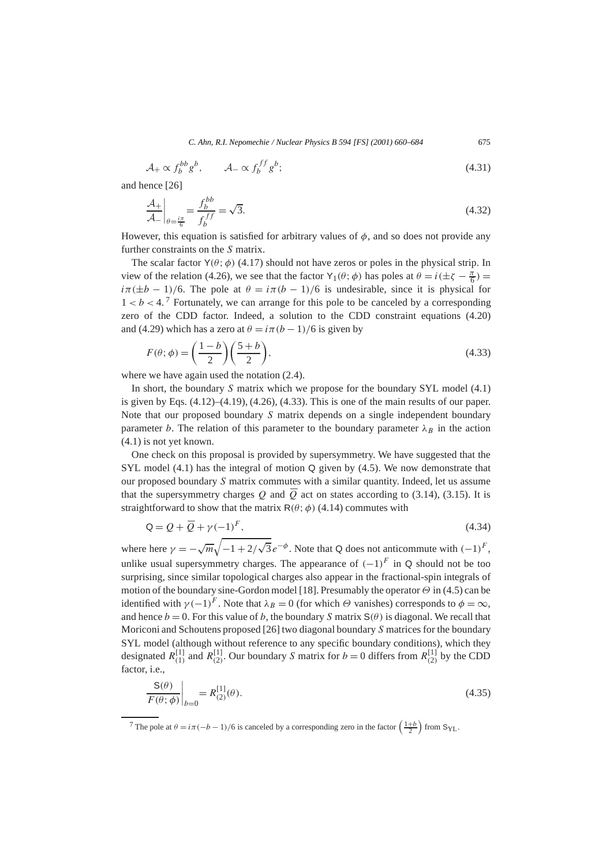$$
\mathcal{A}_+ \propto f_b^{bb} g^b, \qquad \mathcal{A}_- \propto f_b^{ff} g^b; \tag{4.31}
$$

and hence [26]

$$
\left. \frac{\mathcal{A}_{+}}{\mathcal{A}_{-}} \right|_{\theta = \frac{i\pi}{6}} = \frac{f_b^{bb}}{f_b^{ff}} = \sqrt{3}.
$$
\n(4.32)

However, this equation is satisfied for arbitrary values of  $\phi$ , and so does not provide any further constraints on the *S* matrix.

The scalar factor  $Y(\theta; \phi)$  (4.17) should not have zeros or poles in the physical strip. In view of the relation (4.26), we see that the factor Y<sub>1</sub>( $\theta$ ;  $\phi$ ) has poles at  $\theta = i(\pm \zeta - \frac{\pi}{6})$  $i\pi(\pm b - 1)/6$ . The pole at  $\theta = i\pi(b - 1)/6$  is undesirable, since it is physical for  $1 < b < 4$ .<sup>7</sup> Fortunately, we can arrange for this pole to be canceled by a corresponding zero of the CDD factor. Indeed, a solution to the CDD constraint equations (4.20) and (4.29) which has a zero at  $\theta = i\pi(b-1)/6$  is given by

$$
F(\theta; \phi) = \left(\frac{1-b}{2}\right) \left(\frac{5+b}{2}\right),\tag{4.33}
$$

where we have again used the notation  $(2.4)$ .

In short, the boundary *S* matrix which we propose for the boundary SYL model (4.1) is given by Eqs.  $(4.12)$ – $(4.19)$ ,  $(4.26)$ ,  $(4.33)$ . This is one of the main results of our paper. Note that our proposed boundary *S* matrix depends on a single independent boundary parameter *b*. The relation of this parameter to the boundary parameter  $\lambda_B$  in the action (4.1) is not yet known.

One check on this proposal is provided by supersymmetry. We have suggested that the SYL model (4.1) has the integral of motion Q given by (4.5). We now demonstrate that our proposed boundary *S* matrix commutes with a similar quantity. Indeed, let us assume that the supersymmetry charges *Q* and  $\overline{Q}$  act on states according to (3.14), (3.15). It is straightforward to show that the matrix  $R(\theta; \phi)$  (4.14) commutes with

$$
Q = Q + \overline{Q} + \gamma (-1)^F,\tag{4.34}
$$

where here  $\gamma = -\sqrt{m}\sqrt{-1+2/4}$  $\sqrt{3}e^{-\phi}$ . Note that Q does not anticommute with  $(-1)^F$ , unlike usual supersymmetry charges. The appearance of  $(-1)^F$  in Q should not be too surprising, since similar topological charges also appear in the fractional-spin integrals of motion of the boundary sine-Gordon model [18]. Presumably the operator *Θ* in (4.5) can be identified with  $\gamma$  (−1)<sup>*F*</sup>. Note that  $\lambda_B = 0$  (for which  $\Theta$  vanishes) corresponds to  $\phi = \infty$ , and hence  $b = 0$ . For this value of *b*, the boundary *S* matrix  $S(\theta)$  is diagonal. We recall that Moriconi and Schoutens proposed [26] two diagonal boundary *S* matrices for the boundary SYL model (although without reference to any specific boundary conditions), which they designated  $R_{(1)}^{[1]}$  and  $R_{(2)}^{[1]}$ . Our boundary *S* matrix for  $b = 0$  differs from  $R_{(2)}^{[1]}$  by the CDD factor, i.e.,

$$
\left. \frac{\mathsf{S}(\theta)}{F(\theta; \phi)} \right|_{b=0} = R_{(2)}^{[1]}(\theta). \tag{4.35}
$$

<sup>&</sup>lt;sup>7</sup> The pole at  $\theta = i\pi(-b-1)/6$  is canceled by a corresponding zero in the factor  $\left(\frac{1+b}{2}\right)$  from S<sub>YL</sub>.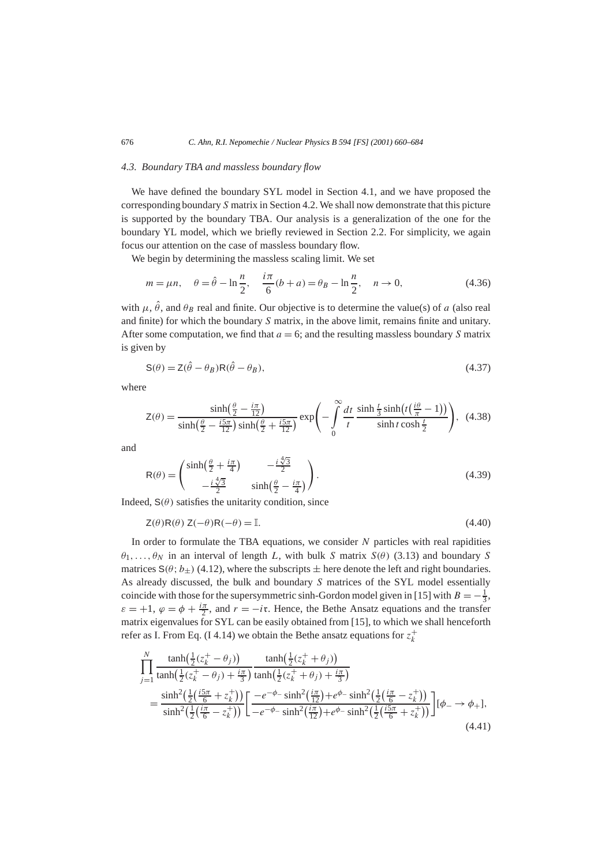# *4.3. Boundary TBA and massless boundary flow*

We have defined the boundary SYL model in Section 4.1, and we have proposed the corresponding boundary *S* matrix in Section 4.2. We shall now demonstrate that this picture is supported by the boundary TBA. Our analysis is a generalization of the one for the boundary YL model, which we briefly reviewed in Section 2.2. For simplicity, we again focus our attention on the case of massless boundary flow.

We begin by determining the massless scaling limit. We set

$$
m = \mu n, \quad \theta = \hat{\theta} - \ln \frac{n}{2}, \quad \frac{i\pi}{6}(b+a) = \theta_B - \ln \frac{n}{2}, \quad n \to 0,
$$
 (4.36)

with  $\mu$ ,  $\hat{\theta}$ , and  $\theta_B$  real and finite. Our objective is to determine the value(s) of *a* (also real and finite) for which the boundary *S* matrix, in the above limit, remains finite and unitary. After some computation, we find that  $a = 6$ ; and the resulting massless boundary *S* matrix is given by

$$
\mathbf{S}(\theta) = \mathbf{Z}(\hat{\theta} - \theta_B)\mathbf{R}(\hat{\theta} - \theta_B),\tag{4.37}
$$

where

$$
Z(\theta) = \frac{\sinh\left(\frac{\theta}{2} - \frac{i\pi}{12}\right)}{\sinh\left(\frac{\theta}{2} - \frac{i5\pi}{12}\right)\sinh\left(\frac{\theta}{2} + \frac{i5\pi}{12}\right)} \exp\left(-\int_0^\infty \frac{dt}{t} \frac{\sinh\frac{t}{3}\sinh\left(t\left(\frac{i\theta}{\pi} - 1\right)\right)}{\sinh t \cosh\frac{t}{2}}\right), \tag{4.38}
$$

and

$$
R(\theta) = \begin{pmatrix} \sinh\left(\frac{\theta}{2} + \frac{i\pi}{4}\right) & -\frac{i\sqrt[4]{3}}{2} \\ -\frac{i\sqrt[4]{3}}{2} & \sinh\left(\frac{\theta}{2} - \frac{i\pi}{4}\right) \end{pmatrix} . \tag{4.39}
$$

Indeed,  $S(\theta)$  satisfies the unitarity condition, since

$$
Z(\theta)R(\theta)Z(-\theta)R(-\theta) = \mathbb{I}.
$$
\n(4.40)

In order to formulate the TBA equations, we consider *N* particles with real rapidities  $\theta_1, \ldots, \theta_N$  in an interval of length *L*, with bulk *S* matrix  $S(\theta)$  (3.13) and boundary *S* matrices  $S(\theta; b_+)$  (4.12), where the subscripts  $\pm$  here denote the left and right boundaries. As already discussed, the bulk and boundary *S* matrices of the SYL model essentially coincide with those for the supersymmetric sinh-Gordon model given in [15] with  $B = -\frac{1}{3}$ ,  $\varepsilon = +1$ ,  $\varphi = \varphi + \frac{i\pi}{2}$ , and  $r = -i\tau$ . Hence, the Bethe Ansatz equations and the transfer matrix eigenvalues for SYL can be easily obtained from [15], to which we shall henceforth refer as I. From Eq. (I 4.14) we obtain the Bethe ansatz equations for  $z_k^+$ 

$$
\begin{split} \prod_{j=1}^{N} \frac{\tanh(\frac{1}{2}(z_{k}^{+}-\theta_{j}))}{\tanh(\frac{1}{2}(z_{k}^{+}-\theta_{j})+\frac{i\pi}{3})} \frac{\tanh(\frac{1}{2}(z_{k}^{+}+\theta_{j}))}{\tanh(\frac{1}{2}(z_{k}^{+}+\theta_{j})+\frac{i\pi}{3})} \\ = \frac{\sinh^{2}(\frac{1}{2}(\frac{i5\pi}{6}+z_{k}^{+}))}{\sinh^{2}(\frac{1}{2}(\frac{i\pi}{6}-z_{k}^{+}))} \bigg[ \frac{-e^{-\phi_{-}}\sinh^{2}(\frac{i\pi}{12})+e^{\phi_{-}}\sinh^{2}(\frac{1}{2}(\frac{i\pi}{6}-z_{k}^{+}))}{\sinh^{2}(\frac{1}{2}(\frac{i5\pi}{6}+z_{k}^{+}))} \bigg] [\phi_{-} \rightarrow \phi_{+}], \end{split} \tag{4.41}
$$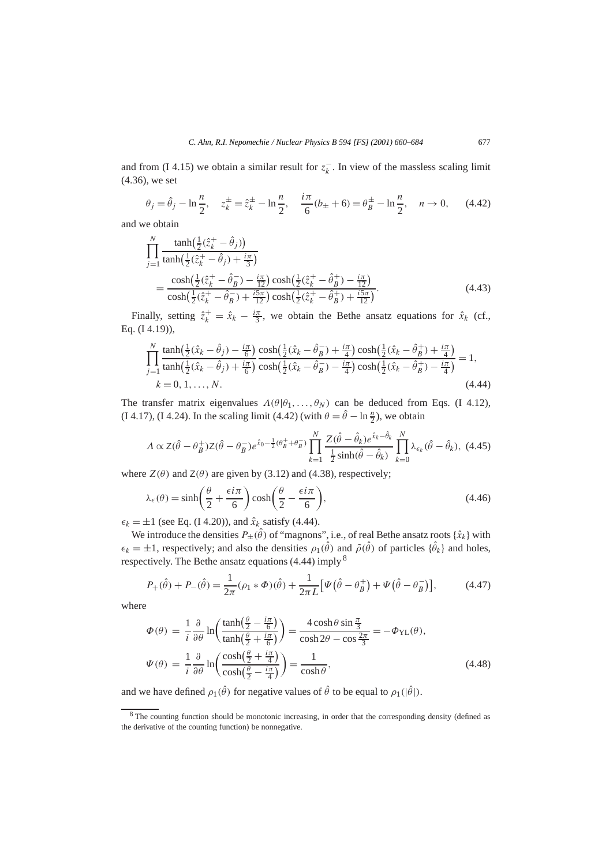and from (I 4.15) we obtain a similar result for  $z_k^-$ . In view of the massless scaling limit (4.36), we set

$$
\theta_j = \hat{\theta}_j - \ln\frac{n}{2}, \quad z_k^{\pm} = \hat{z}_k^{\pm} - \ln\frac{n}{2}, \quad \frac{i\pi}{6}(b_{\pm} + 6) = \theta_B^{\pm} - \ln\frac{n}{2}, \quad n \to 0, \quad (4.42)
$$

and we obtain

$$
\prod_{j=1}^{N} \frac{\tanh(\frac{1}{2}(\hat{z}_{k}^{+} - \hat{\theta}_{j}))}{\tanh(\frac{1}{2}(\hat{z}_{k}^{+} - \hat{\theta}_{j}) + \frac{i\pi}{3})}
$$
\n
$$
= \frac{\cosh(\frac{1}{2}(\hat{z}_{k}^{+} - \hat{\theta}_{B}^{-}) - \frac{i\pi}{12})\cosh(\frac{1}{2}(\hat{z}_{k}^{+} - \hat{\theta}_{B}^{+}) - \frac{i\pi}{12})}{\cosh(\frac{1}{2}(\hat{z}_{k}^{+} - \hat{\theta}_{B}^{-}) + \frac{i5\pi}{12})\cosh(\frac{1}{2}(\hat{z}_{k}^{+} - \hat{\theta}_{B}^{+}) + \frac{i5\pi}{12})}.
$$
\n(4.43)

Finally, setting  $\hat{z}_k^+ = \hat{x}_k - \frac{i\pi}{3}$ , we obtain the Bethe ansatz equations for  $\hat{x}_k$  (cf., Eq. (I 4.19)),

$$
\prod_{j=1}^{N} \frac{\tanh(\frac{1}{2}(\hat{x}_k - \hat{\theta}_j) - \frac{i\pi}{6})}{\tanh(\frac{1}{2}(\hat{x}_k - \hat{\theta}_j) + \frac{i\pi}{6})} \frac{\cosh(\frac{1}{2}(\hat{x}_k - \hat{\theta}_B^{-}) + \frac{i\pi}{4})\cosh(\frac{1}{2}(\hat{x}_k - \hat{\theta}_B^{+}) + \frac{i\pi}{4})}{\cosh(\frac{1}{2}(\hat{x}_k - \hat{\theta}_B^{-}) - \frac{i\pi}{4})\cosh(\frac{1}{2}(\hat{x}_k - \hat{\theta}_B^{+}) - \frac{i\pi}{4})} = 1,k = 0, 1, ..., N.
$$
\n(4.44)

The transfer matrix eigenvalues  $\Lambda(\theta|\theta_1,\ldots,\theta_N)$  can be deduced from Eqs. (I 4.12), (I 4.17), (I 4.24). In the scaling limit (4.42) (with  $\theta = \hat{\theta} - \ln \frac{n}{2}$ ), we obtain

$$
\Lambda \propto Z(\hat{\theta} - \theta_B^+) Z(\hat{\theta} - \theta_B^-) e^{\hat{x}_0 - \frac{1}{2}(\theta_B^+ + \theta_B^-)} \prod_{k=1}^N \frac{Z(\hat{\theta} - \hat{\theta}_k) e^{\hat{x}_k - \hat{\theta}_k}}{\frac{1}{2} \sinh(\hat{\theta} - \hat{\theta}_k)} \prod_{k=0}^N \lambda_{\epsilon_k} (\hat{\theta} - \hat{\theta}_k), \tag{4.45}
$$

where  $Z(\theta)$  and  $Z(\theta)$  are given by (3.12) and (4.38), respectively;

$$
\lambda_{\epsilon}(\theta) = \sinh\left(\frac{\theta}{2} + \frac{\epsilon i \pi}{6}\right) \cosh\left(\frac{\theta}{2} - \frac{\epsilon i \pi}{6}\right),\tag{4.46}
$$

 $\epsilon_k = \pm 1$  (see Eq. (I 4.20)), and  $\hat{x}_k$  satisfy (4.44).

We introduce the densities  $P_{\pm}(\hat{\theta})$  of "magnons", i.e., of real Bethe ansatz roots  $\{\hat{x}_k\}$  with  $\epsilon_k = \pm 1$ , respectively; and also the densities  $\rho_1(\hat{\theta})$  and  $\tilde{\rho}(\hat{\theta})$  of particles  $\{\hat{\theta}_k\}$  and holes, respectively. The Bethe ansatz equations  $(4.44)$  imply  $<sup>8</sup>$ </sup>

$$
P_{+}(\hat{\theta}) + P_{-}(\hat{\theta}) = \frac{1}{2\pi}(\rho_1 * \Phi)(\hat{\theta}) + \frac{1}{2\pi L} \big[ \Psi(\hat{\theta} - \theta_B^+) + \Psi(\hat{\theta} - \theta_B^-) \big],\tag{4.47}
$$

where

$$
\Phi(\theta) = \frac{1}{i} \frac{\partial}{\partial \theta} \ln \left( \frac{\tanh\left(\frac{\theta}{2} - \frac{i\pi}{6}\right)}{\tanh\left(\frac{\theta}{2} + \frac{i\pi}{6}\right)} \right) = \frac{4 \cosh\theta \sin\frac{\pi}{3}}{\cosh 2\theta - \cos\frac{2\pi}{3}} = -\Phi_{\text{YL}}(\theta),
$$
\n
$$
\Psi(\theta) = \frac{1}{i} \frac{\partial}{\partial \theta} \ln \left( \frac{\cosh\left(\frac{\theta}{2} + \frac{i\pi}{4}\right)}{\cosh\left(\frac{\theta}{2} - \frac{i\pi}{4}\right)} \right) = \frac{1}{\cosh\theta},
$$
\n(4.48)

and we have defined  $\rho_1(\hat{\theta})$  for negative values of  $\hat{\theta}$  to be equal to  $\rho_1(|\hat{\theta}|)$ .

<sup>&</sup>lt;sup>8</sup> The counting function should be monotonic increasing, in order that the corresponding density (defined as the derivative of the counting function) be nonnegative.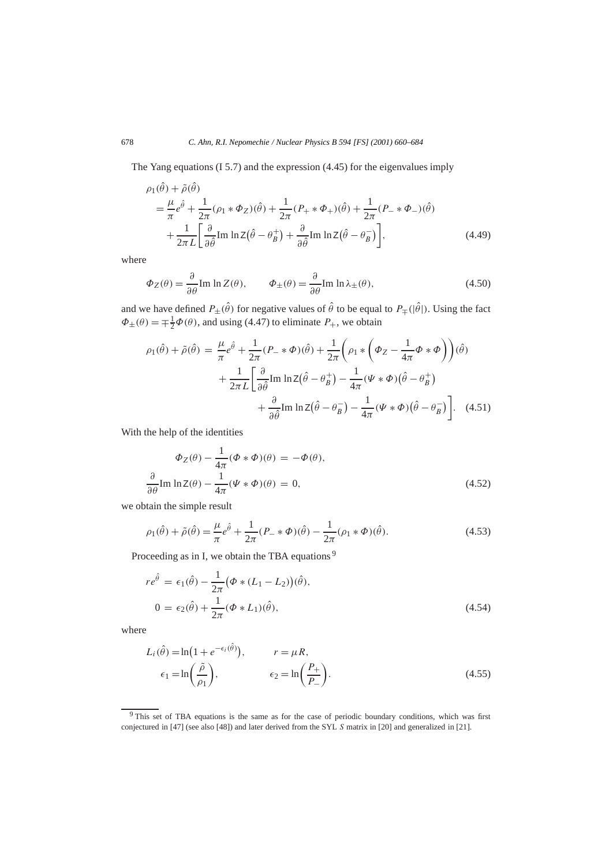The Yang equations (I 5.7) and the expression (4.45) for the eigenvalues imply

$$
\rho_1(\hat{\theta}) + \tilde{\rho}(\hat{\theta})
$$
\n
$$
= \frac{\mu}{\pi} e^{\hat{\theta}} + \frac{1}{2\pi} (\rho_1 * \Phi_Z)(\hat{\theta}) + \frac{1}{2\pi} (P_+ * \Phi_+)(\hat{\theta}) + \frac{1}{2\pi} (P_- * \Phi_-)(\hat{\theta})
$$
\n
$$
+ \frac{1}{2\pi L} \left[ \frac{\partial}{\partial \hat{\theta}} \text{Im} \ln Z(\hat{\theta} - \theta_B^+) + \frac{\partial}{\partial \hat{\theta}} \text{Im} \ln Z(\hat{\theta} - \theta_B^-) \right],
$$
\n(4.49)

where

$$
\Phi_Z(\theta) = \frac{\partial}{\partial \theta} \text{Im} \ln Z(\theta), \qquad \Phi_{\pm}(\theta) = \frac{\partial}{\partial \theta} \text{Im} \ln \lambda_{\pm}(\theta), \tag{4.50}
$$

and we have defined  $P_{\pm}(\hat{\theta})$  for negative values of  $\hat{\theta}$  to be equal to  $P_{\mp}(|\hat{\theta}|)$ . Using the fact  $\Phi_{\pm}(\theta) = \pm \frac{1}{2} \Phi(\theta)$ , and using (4.47) to eliminate  $P_+$ , we obtain

$$
\rho_1(\hat{\theta}) + \tilde{\rho}(\hat{\theta}) = \frac{\mu}{\pi} e^{\hat{\theta}} + \frac{1}{2\pi} (P_- * \Phi)(\hat{\theta}) + \frac{1}{2\pi} \left( \rho_1 * \left( \Phi_Z - \frac{1}{4\pi} \Phi * \Phi \right) \right) (\hat{\theta})
$$

$$
+ \frac{1}{2\pi L} \left[ \frac{\partial}{\partial \hat{\theta}} \text{Im} \ln Z(\hat{\theta} - \theta_B^+) - \frac{1}{4\pi} (\Psi * \Phi)(\hat{\theta} - \theta_B^+) \right.
$$

$$
+ \frac{\partial}{\partial \hat{\theta}} \text{Im} \ln Z(\hat{\theta} - \theta_B^-) - \frac{1}{4\pi} (\Psi * \Phi)(\hat{\theta} - \theta_B^-) \right]. \quad (4.51)
$$

With the help of the identities

$$
\Phi_Z(\theta) - \frac{1}{4\pi} (\Phi * \Phi)(\theta) = -\Phi(\theta),
$$
  

$$
\frac{\partial}{\partial \theta} \text{Im} \ln Z(\theta) - \frac{1}{4\pi} (\Psi * \Phi)(\theta) = 0,
$$
 (4.52)

we obtain the simple result

$$
\rho_1(\hat{\theta}) + \tilde{\rho}(\hat{\theta}) = \frac{\mu}{\pi} e^{\hat{\theta}} + \frac{1}{2\pi} (P_- * \Phi)(\hat{\theta}) - \frac{1}{2\pi} (\rho_1 * \Phi)(\hat{\theta}).
$$
\n(4.53)

Proceeding as in I, we obtain the TBA equations<sup>9</sup>

$$
re^{\hat{\theta}} = \epsilon_1(\hat{\theta}) - \frac{1}{2\pi} (\Phi * (L_1 - L_2))(\hat{\theta}),
$$
  
\n
$$
0 = \epsilon_2(\hat{\theta}) + \frac{1}{2\pi} (\Phi * L_1)(\hat{\theta}),
$$
\n(4.54)

where

$$
L_i(\hat{\theta}) = \ln(1 + e^{-\epsilon_i(\hat{\theta})}), \qquad r = \mu R,
$$
  

$$
\epsilon_1 = \ln\left(\frac{\tilde{\rho}}{\rho_1}\right), \qquad \epsilon_2 = \ln\left(\frac{P_+}{P_-}\right).
$$
 (4.55)

<sup>&</sup>lt;sup>9</sup> This set of TBA equations is the same as for the case of periodic boundary conditions, which was first conjectured in [47] (see also [48]) and later derived from the SYL *S* matrix in [20] and generalized in [21].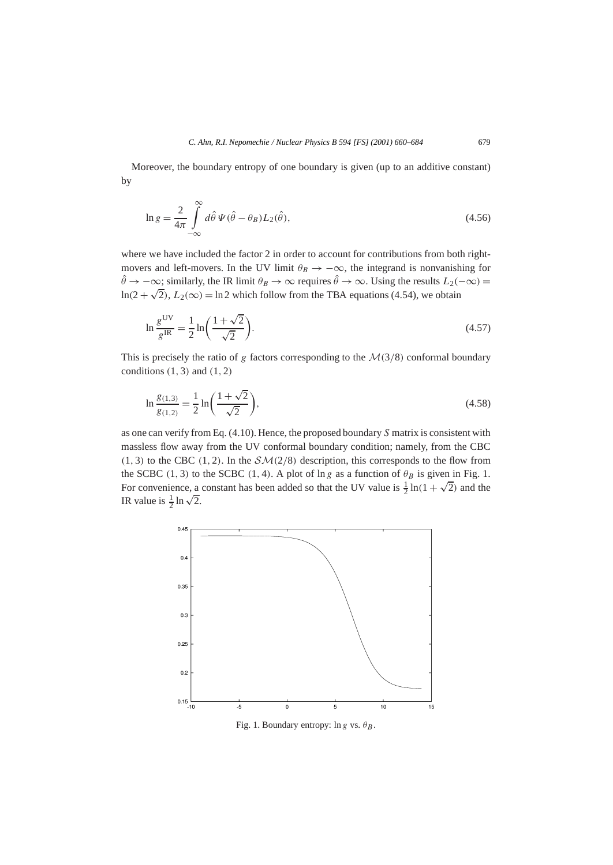Moreover, the boundary entropy of one boundary is given (up to an additive constant) by

$$
\ln g = \frac{2}{4\pi} \int_{-\infty}^{\infty} d\hat{\theta} \, \Psi(\hat{\theta} - \theta_B) L_2(\hat{\theta}), \tag{4.56}
$$

where we have included the factor 2 in order to account for contributions from both rightmovers and left-movers. In the UV limit  $\theta_B \to -\infty$ , the integrand is nonvanishing for  $\hat{\theta} \rightarrow -\infty$ ; similarly, the IR limit  $\theta_B \rightarrow \infty$  requires  $\hat{\theta} \rightarrow \infty$ . Using the results  $L_2(-\infty) =$  $ln(2 + \sqrt{2})$ ,  $L_2(\infty) = ln 2$  which follow from the TBA equations (4.54), we obtain

$$
\ln \frac{g^{\text{UV}}}{g^{\text{IR}}} = \frac{1}{2} \ln \left( \frac{1 + \sqrt{2}}{\sqrt{2}} \right). \tag{4.57}
$$

This is precisely the ratio of *g* factors corresponding to the  $\mathcal{M}(3/8)$  conformal boundary conditions *(*1*,* 3*)* and *(*1*,* 2*)*

$$
\ln \frac{g_{(1,3)}}{g_{(1,2)}} = \frac{1}{2} \ln \left( \frac{1+\sqrt{2}}{\sqrt{2}} \right),\tag{4.58}
$$

as one can verify from Eq. (4.10). Hence, the proposed boundary *S* matrix is consistent with massless flow away from the UV conformal boundary condition; namely, from the CBC  $(1, 3)$  to the CBC  $(1, 2)$ . In the  $\mathcal{SM}(2/8)$  description, this corresponds to the flow from the SCBC (1, 3) to the SCBC (1, 4). A plot of ln *g* as a function of  $\theta_B$  is given in Fig. 1. The SCBC (1, 5) to the SCBC (1, 4). A plot of m*g* as a function of  $\theta_B$  is given in Fig. 1.<br>For convenience, a constant has been added so that the UV value is  $\frac{1}{2} \ln(1 + \sqrt{2})$  and the For convenience, a<br>IR value is  $\frac{1}{2} \ln \sqrt{2}$ .



Fig. 1. Boundary entropy:  $\ln g$  vs.  $\theta_B$ .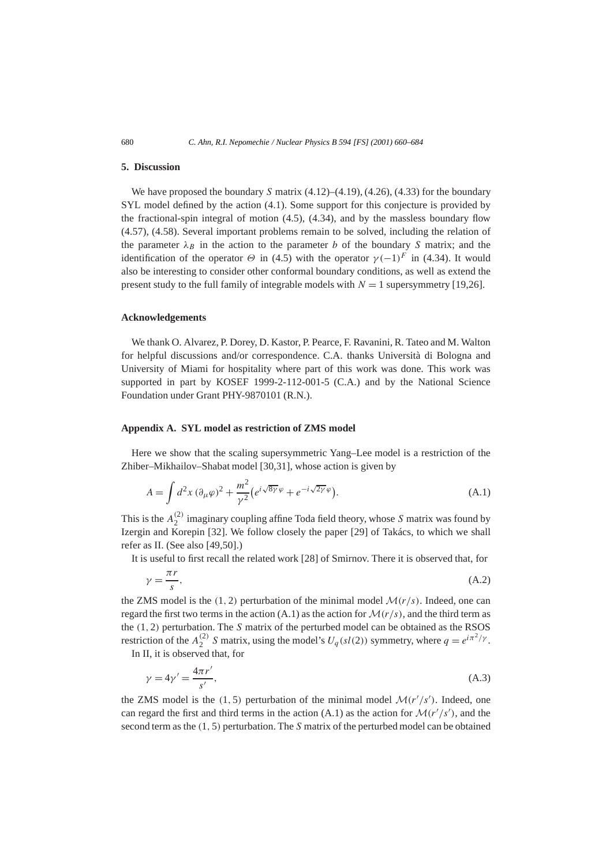## **5. Discussion**

We have proposed the boundary *S* matrix (4.12)–(4.19), (4.26), (4.33) for the boundary SYL model defined by the action (4.1). Some support for this conjecture is provided by the fractional-spin integral of motion (4.5), (4.34), and by the massless boundary flow (4.57), (4.58). Several important problems remain to be solved, including the relation of the parameter  $\lambda_B$  in the action to the parameter *b* of the boundary *S* matrix; and the identification of the operator  $\Theta$  in (4.5) with the operator  $\gamma$  (−1)<sup>F</sup> in (4.34). It would also be interesting to consider other conformal boundary conditions, as well as extend the present study to the full family of integrable models with  $N = 1$  supersymmetry [19,26].

#### **Acknowledgements**

We thank O. Alvarez, P. Dorey, D. Kastor, P. Pearce, F. Ravanini, R. Tateo and M. Walton for helpful discussions and/or correspondence. C.A. thanks Università di Bologna and University of Miami for hospitality where part of this work was done. This work was supported in part by KOSEF 1999-2-112-001-5 (C.A.) and by the National Science Foundation under Grant PHY-9870101 (R.N.).

## **Appendix A. SYL model as restriction of ZMS model**

Here we show that the scaling supersymmetric Yang–Lee model is a restriction of the Zhiber–Mikhailov–Shabat model [30,31], whose action is given by

$$
A = \int d^2x \left(\partial_\mu \varphi\right)^2 + \frac{m^2}{\gamma^2} \left(e^{i\sqrt{8\gamma}\varphi} + e^{-i\sqrt{2\gamma}\varphi}\right).
$$
 (A.1)

This is the  $A_2^{(2)}$  imaginary coupling affine Toda field theory, whose *S* matrix was found by Izergin and Korepin [32]. We follow closely the paper [29] of Takács, to which we shall refer as II. (See also [49,50].)

It is useful to first recall the related work [28] of Smirnov. There it is observed that, for

$$
\gamma = \frac{\pi r}{s},\tag{A.2}
$$

the ZMS model is the  $(1, 2)$  perturbation of the minimal model  $\mathcal{M}(r/s)$ . Indeed, one can regard the first two terms in the action (A.1) as the action for  $\mathcal{M}(r/s)$ , and the third term as the *(*1*,* 2*)* perturbation. The *S* matrix of the perturbed model can be obtained as the RSOS restriction of the  $A_2^{(2)}$  *S* matrix, using the model's  $U_q(sl(2))$  symmetry, where  $q = e^{i\pi^2/\gamma}$ .

In II, it is observed that, for

$$
\gamma = 4\gamma' = \frac{4\pi r'}{s'},\tag{A.3}
$$

the ZMS model is the (1, 5) perturbation of the minimal model  $\mathcal{M}(r'/s')$ . Indeed, one can regard the first and third terms in the action (A.1) as the action for  $\mathcal{M}(r'/s')$ , and the second term as the *(*1*,* 5*)* perturbation. The *S* matrix of the perturbed model can be obtained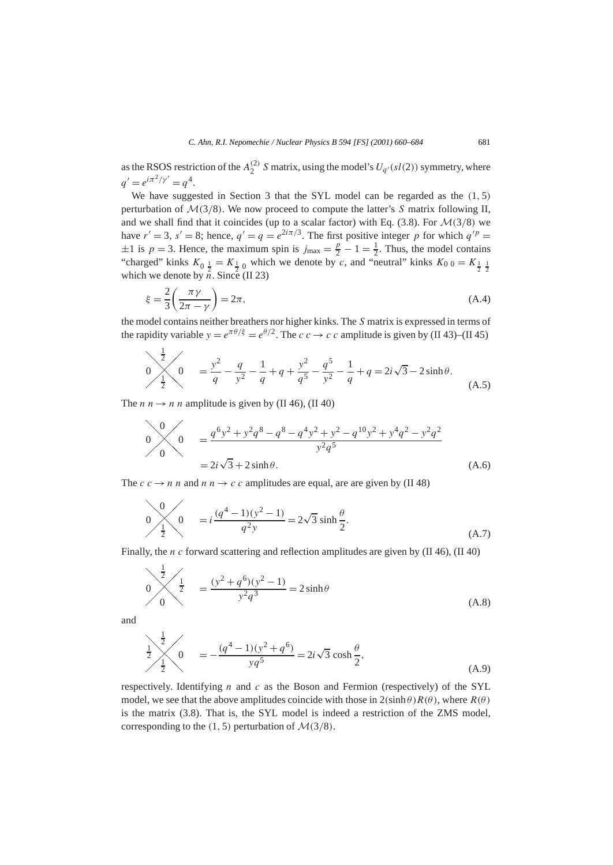as the RSOS restriction of the  $A_2^{(2)}$  S matrix, using the model's  $U_{q'}(sl(2))$  symmetry, where  $q' = e^{i\pi^2/\gamma'} = q^4.$ 

We have suggested in Section 3 that the SYL model can be regarded as the *(*1*,* 5*)* perturbation of M*(*3*/*8*)*. We now proceed to compute the latter's *S* matrix following II, and we shall find that it coincides (up to a scalar factor) with Eq.  $(3.8)$ . For  $\mathcal{M}(3/8)$  we have  $r' = 3$ ,  $s' = 8$ ; hence,  $q' = q = e^{2i\pi/3}$ . The first positive integer *p* for which  $q'^p =$  $\pm 1$  is  $p = 3$ . Hence, the maximum spin is  $j_{\text{max}} = \frac{p}{2} - 1 = \frac{1}{2}$ . Thus, the model contains "charged" kinks  $K_0 = K_1$  which we denote by *c*, and "neutral" kinks  $K_0 = K_1$   $\frac{1}{2}$ which we denote by  $\overline{n}$ . Since (II 23)

$$
\xi = \frac{2}{3} \left( \frac{\pi \gamma}{2\pi - \gamma} \right) = 2\pi,\tag{A.4}
$$

the model contains neither breathers nor higher kinks. The *S* matrix is expressed in terms of the rapidity variable  $y = e^{\pi \theta/\xi} = e^{\theta/2}$ . The  $c \, c \rightarrow c \, c$  amplitude is given by (II 43)–(II 45)

$$
0 \frac{\frac{1}{2}}{\frac{1}{2}} \left(0 \right) = \frac{y^2}{q} - \frac{q}{y^2} - \frac{1}{q} + q + \frac{y^2}{q^5} - \frac{q^5}{y^2} - \frac{1}{q} + q = 2i\sqrt{3} - 2\sinh\theta.
$$
 (A.5)

The *n*  $n \rightarrow n$  *n* amplitude is given by (II 46), (II 40)

$$
0 \qquad 0 \qquad = \frac{q^6 y^2 + y^2 q^8 - q^8 - q^4 y^2 + y^2 - q^{10} y^2 + y^4 q^2 - y^2 q^2}{y^2 q^5}
$$
  
=  $2i\sqrt{3} + 2\sinh\theta$ . (A.6)

The  $c \rightarrow n \, n$  and  $n \rightarrow c \, c$  amplitudes are equal, are are given by (II 48)

$$
0 \qquad \qquad \downarrow \qquad 0 \qquad = i \frac{(q^4 - 1)(y^2 - 1)}{q^2 y} = 2\sqrt{3} \sinh \frac{\theta}{2}.
$$
\n(A.7)

Finally, the *n c* forward scattering and reflection amplitudes are given by (II 46), (II 40)

$$
\frac{\frac{1}{2}}{0} = \frac{(y^2 + q^6)(y^2 - 1)}{y^2 q^3} = 2 \sinh \theta
$$
\n(A.8)

and

$$
\frac{1}{2} \times \frac{1}{2} \times \left(0 \right) = -\frac{(q^4 - 1)(y^2 + q^6)}{yq^5} = 2i\sqrt{3} \cosh\frac{\theta}{2},
$$
\n(A.9)

respectively. Identifying *n* and *c* as the Boson and Fermion (respectively) of the SYL model, we see that the above amplitudes coincide with those in  $2(\sinh \theta) R(\theta)$ , where  $R(\theta)$ is the matrix (3.8). That is, the SYL model is indeed a restriction of the ZMS model, corresponding to the  $(1, 5)$  perturbation of  $\mathcal{M}(3/8)$ .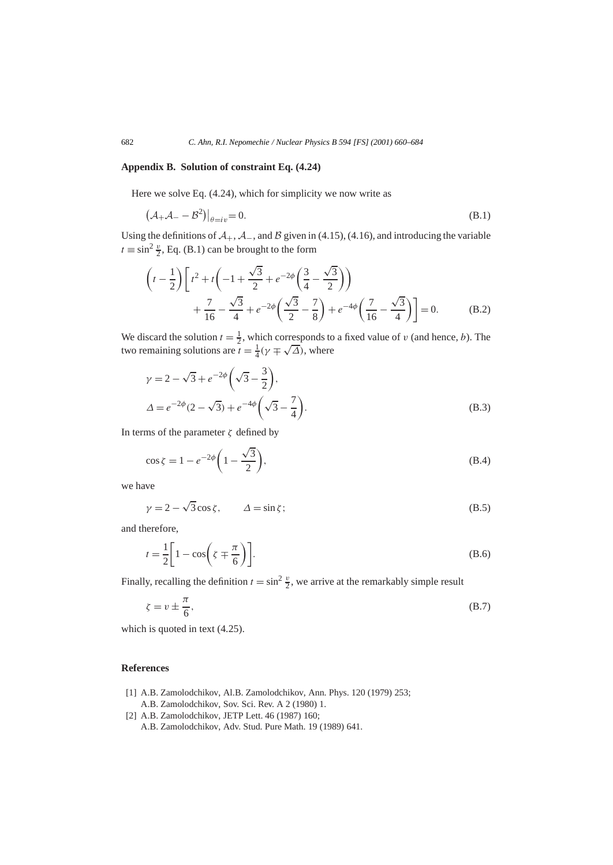# **Appendix B. Solution of constraint Eq. (4.24)**

Here we solve Eq. (4.24), which for simplicity we now write as

$$
(\mathcal{A}_{+}\mathcal{A}_{-}-\mathcal{B}^{2})|_{\theta=i\nu}=0.
$$
\n(B.1)

Using the definitions of  $A_+$ ,  $A_-$ , and  $B$  given in (4.15), (4.16), and introducing the variable  $t \equiv \sin^2 \frac{v}{2}$ , Eq. (B.1) can be brought to the form

$$
\left(t - \frac{1}{2}\right) \left[ t^2 + t \left(-1 + \frac{\sqrt{3}}{2} + e^{-2\phi} \left(\frac{3}{4} - \frac{\sqrt{3}}{2}\right) \right) + \frac{7}{16} - \frac{\sqrt{3}}{4} + e^{-2\phi} \left(\frac{\sqrt{3}}{2} - \frac{7}{8}\right) + e^{-4\phi} \left(\frac{7}{16} - \frac{\sqrt{3}}{4}\right) \right] = 0. \tag{B.2}
$$

We discard the solution  $t = \frac{1}{2}$ , which corresponds to a fixed value of *v* (and hence, *b*). The we discard the solution  $t = \frac{1}{2}$ , which corresponds to<br>two remaining solutions are  $t = \frac{1}{4}(\gamma \mp \sqrt{\Delta})$ , where

$$
\gamma = 2 - \sqrt{3} + e^{-2\phi} \left( \sqrt{3} - \frac{3}{2} \right),
$$
  
\n
$$
\Delta = e^{-2\phi} (2 - \sqrt{3}) + e^{-4\phi} \left( \sqrt{3} - \frac{7}{4} \right).
$$
\n(B.3)

In terms of the parameter *ζ* defined by

$$
\cos \zeta = 1 - e^{-2\phi} \left( 1 - \frac{\sqrt{3}}{2} \right),\tag{B.4}
$$

we have

$$
\gamma = 2 - \sqrt{3}\cos\zeta, \qquad \Delta = \sin\zeta; \tag{B.5}
$$

and therefore,

$$
t = \frac{1}{2} \left[ 1 - \cos\left(\zeta \mp \frac{\pi}{6}\right) \right].
$$
 (B.6)

Finally, recalling the definition  $t = \sin^2 \frac{v}{2}$ , we arrive at the remarkably simple result

$$
\zeta = v \pm \frac{\pi}{6},\tag{B.7}
$$

which is quoted in text (4.25).

## **References**

- [1] A.B. Zamolodchikov, Al.B. Zamolodchikov, Ann. Phys. 120 (1979) 253; A.B. Zamolodchikov, Sov. Sci. Rev. A 2 (1980) 1.
- [2] A.B. Zamolodchikov, JETP Lett. 46 (1987) 160; A.B. Zamolodchikov, Adv. Stud. Pure Math. 19 (1989) 641.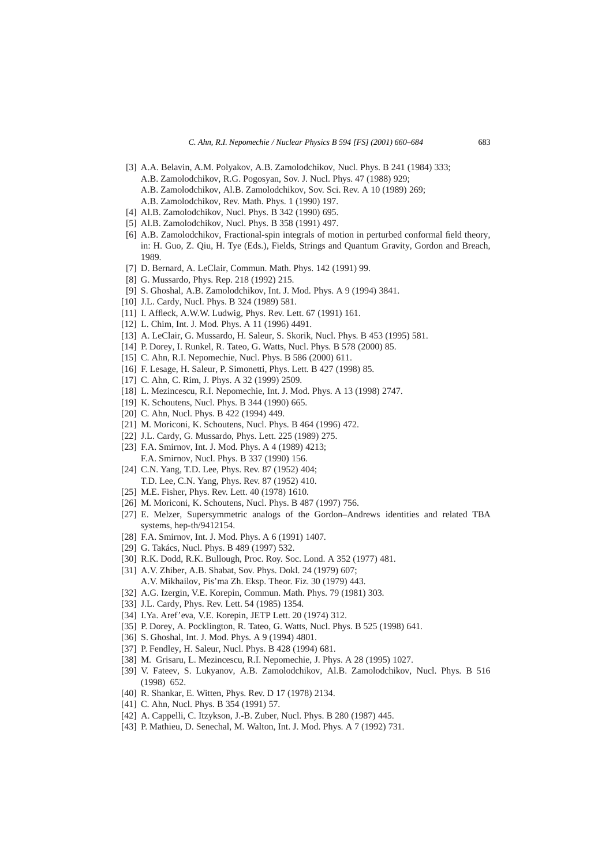- [3] A.A. Belavin, A.M. Polyakov, A.B. Zamolodchikov, Nucl. Phys. B 241 (1984) 333; A.B. Zamolodchikov, R.G. Pogosyan, Sov. J. Nucl. Phys. 47 (1988) 929; A.B. Zamolodchikov, Al.B. Zamolodchikov, Sov. Sci. Rev. A 10 (1989) 269; A.B. Zamolodchikov, Rev. Math. Phys. 1 (1990) 197.
- [4] Al.B. Zamolodchikov, Nucl. Phys. B 342 (1990) 695.
- [5] Al.B. Zamolodchikov, Nucl. Phys. B 358 (1991) 497.
- [6] A.B. Zamolodchikov, Fractional-spin integrals of motion in perturbed conformal field theory, in: H. Guo, Z. Qiu, H. Tye (Eds.), Fields, Strings and Quantum Gravity, Gordon and Breach, 1989.
- [7] D. Bernard, A. LeClair, Commun. Math. Phys. 142 (1991) 99.
- [8] G. Mussardo, Phys. Rep. 218 (1992) 215.
- [9] S. Ghoshal, A.B. Zamolodchikov, Int. J. Mod. Phys. A 9 (1994) 3841.
- [10] J.L. Cardy, Nucl. Phys. B 324 (1989) 581.
- [11] I. Affleck, A.W.W. Ludwig, Phys. Rev. Lett. 67 (1991) 161.
- [12] L. Chim, Int. J. Mod. Phys. A 11 (1996) 4491.
- [13] A. LeClair, G. Mussardo, H. Saleur, S. Skorik, Nucl. Phys. B 453 (1995) 581.
- [14] P. Dorey, I. Runkel, R. Tateo, G. Watts, Nucl. Phys. B 578 (2000) 85.
- [15] C. Ahn, R.I. Nepomechie, Nucl. Phys. B 586 (2000) 611.
- [16] F. Lesage, H. Saleur, P. Simonetti, Phys. Lett. B 427 (1998) 85.
- [17] C. Ahn, C. Rim, J. Phys. A 32 (1999) 2509.
- [18] L. Mezincescu, R.I. Nepomechie, Int. J. Mod. Phys. A 13 (1998) 2747.
- [19] K. Schoutens, Nucl. Phys. B 344 (1990) 665.
- [20] C. Ahn, Nucl. Phys. B 422 (1994) 449.
- [21] M. Moriconi, K. Schoutens, Nucl. Phys. B 464 (1996) 472.
- [22] J.L. Cardy, G. Mussardo, Phys. Lett. 225 (1989) 275.
- [23] F.A. Smirnov, Int. J. Mod. Phys. A 4 (1989) 4213; F.A. Smirnov, Nucl. Phys. B 337 (1990) 156.
- [24] C.N. Yang, T.D. Lee, Phys. Rev. 87 (1952) 404; T.D. Lee, C.N. Yang, Phys. Rev. 87 (1952) 410.
- [25] M.E. Fisher, Phys. Rev. Lett. 40 (1978) 1610.
- [26] M. Moriconi, K. Schoutens, Nucl. Phys. B 487 (1997) 756.
- [27] E. Melzer, Supersymmetric analogs of the Gordon–Andrews identities and related TBA systems, hep-th/9412154.
- [28] F.A. Smirnov, Int. J. Mod. Phys. A 6 (1991) 1407.
- [29] G. Takács, Nucl. Phys. B 489 (1997) 532.
- [30] R.K. Dodd, R.K. Bullough, Proc. Roy. Soc. Lond. A 352 (1977) 481.
- [31] A.V. Zhiber, A.B. Shabat, Sov. Phys. Dokl. 24 (1979) 607; A.V. Mikhailov, Pis'ma Zh. Eksp. Theor. Fiz. 30 (1979) 443.
- [32] A.G. Izergin, V.E. Korepin, Commun. Math. Phys. 79 (1981) 303.
- [33] J.L. Cardy, Phys. Rev. Lett. 54 (1985) 1354.
- [34] I.Ya. Aref'eva, V.E. Korepin, JETP Lett. 20 (1974) 312.
- [35] P. Dorey, A. Pocklington, R. Tateo, G. Watts, Nucl. Phys. B 525 (1998) 641.
- [36] S. Ghoshal, Int. J. Mod. Phys. A 9 (1994) 4801.
- [37] P. Fendley, H. Saleur, Nucl. Phys. B 428 (1994) 681.
- [38] M. Grisaru, L. Mezincescu, R.I. Nepomechie, J. Phys. A 28 (1995) 1027.
- [39] V. Fateev, S. Lukyanov, A.B. Zamolodchikov, Al.B. Zamolodchikov, Nucl. Phys. B 516 (1998) 652.
- [40] R. Shankar, E. Witten, Phys. Rev. D 17 (1978) 2134.
- [41] C. Ahn, Nucl. Phys. B 354 (1991) 57.
- [42] A. Cappelli, C. Itzykson, J.-B. Zuber, Nucl. Phys. B 280 (1987) 445.
- [43] P. Mathieu, D. Senechal, M. Walton, Int. J. Mod. Phys. A 7 (1992) 731.